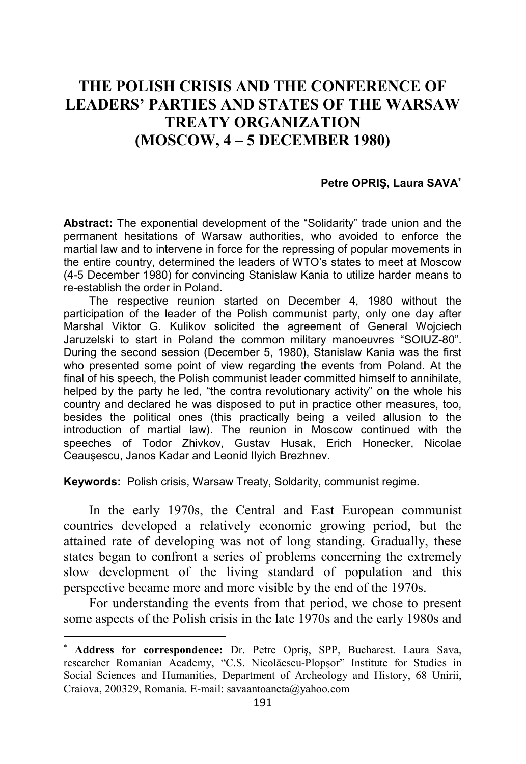## **THE POLISH CRISIS AND THE CONFERENCE OF LEADERS' PARTIES AND STATES OF THE WARSAW TREATY ORGANIZATION (MOSCOW, 4 – 5 DECEMBER 1980)**

## **Petre OPRIŞ, Laura SAVA**<sup>∗</sup>

**Abstract:** The exponential development of the "Solidarity" trade union and the permanent hesitations of Warsaw authorities, who avoided to enforce the martial law and to intervene in force for the repressing of popular movements in the entire country, determined the leaders of WTO's states to meet at Moscow (4-5 December 1980) for convincing Stanislaw Kania to utilize harder means to re-establish the order in Poland.

The respective reunion started on December 4, 1980 without the participation of the leader of the Polish communist party, only one day after Marshal Viktor G. Kulikov solicited the agreement of General Wojciech Jaruzelski to start in Poland the common military manoeuvres "SOIUZ-80". During the second session (December 5, 1980), Stanislaw Kania was the first who presented some point of view regarding the events from Poland. At the final of his speech, the Polish communist leader committed himself to annihilate, helped by the party he led, "the contra revolutionary activity" on the whole his country and declared he was disposed to put in practice other measures, too, besides the political ones (this practically being a veiled allusion to the introduction of martial law). The reunion in Moscow continued with the speeches of Todor Zhivkov, Gustav Husak, Erich Honecker, Nicolae Ceauşescu, Janos Kadar and Leonid Ilyich Brezhnev.

**Keywords:** Polish crisis, Warsaw Treaty, Soldarity, communist regime.

In the early 1970s, the Central and East European communist countries developed a relatively economic growing period, but the attained rate of developing was not of long standing. Gradually, these states began to confront a series of problems concerning the extremely slow development of the living standard of population and this perspective became more and more visible by the end of the 1970s.

For understanding the events from that period, we chose to present some aspects of the Polish crisis in the late 1970s and the early 1980s and

<sup>∗</sup> **Address for correspondence:** Dr. Petre Opriş, SPP, Bucharest. Laura Sava, researcher Romanian Academy, "C.S. Nicolăescu-Plopşor" Institute for Studies in Social Sciences and Humanities, Department of Archeology and History, 68 Unirii, Craiova, 200329, Romania. E-mail: savaantoaneta@yahoo.com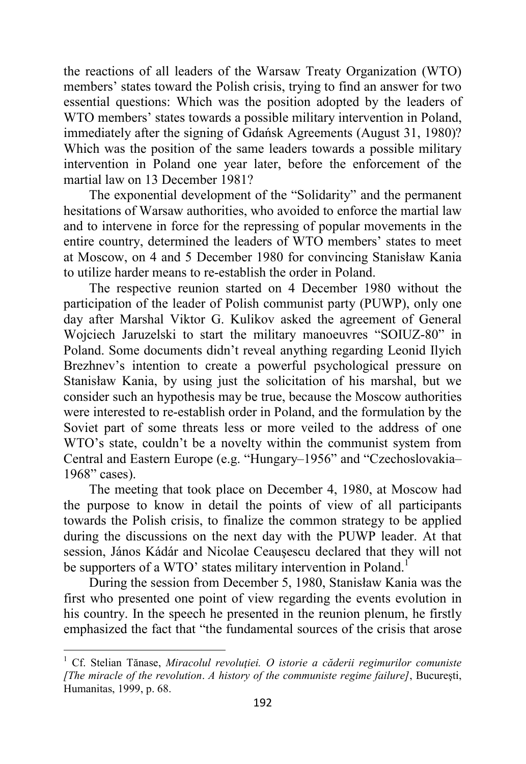the reactions of all leaders of the Warsaw Treaty Organization (WTO) members' states toward the Polish crisis, trying to find an answer for two essential questions: Which was the position adopted by the leaders of WTO members' states towards a possible military intervention in Poland, immediately after the signing of Gdańsk Agreements (August 31, 1980)? Which was the position of the same leaders towards a possible military intervention in Poland one year later, before the enforcement of the martial law on 13 December 1981?

The exponential development of the "Solidarity" and the permanent hesitations of Warsaw authorities, who avoided to enforce the martial law and to intervene in force for the repressing of popular movements in the entire country, determined the leaders of WTO members' states to meet at Moscow, on 4 and 5 December 1980 for convincing Stanisław Kania to utilize harder means to re-establish the order in Poland.

The respective reunion started on 4 December 1980 without the participation of the leader of Polish communist party (PUWP), only one day after Marshal Viktor G. Kulikov asked the agreement of General Wojciech Jaruzelski to start the military manoeuvres "SOIUZ-80" in Poland. Some documents didn't reveal anything regarding Leonid Ilyich Brezhnev's intention to create a powerful psychological pressure on Stanisław Kania, by using just the solicitation of his marshal, but we consider such an hypothesis may be true, because the Moscow authorities were interested to re-establish order in Poland, and the formulation by the Soviet part of some threats less or more veiled to the address of one WTO's state, couldn't be a novelty within the communist system from Central and Eastern Europe (e.g. "Hungary–1956" and "Czechoslovakia– 1968" cases).

The meeting that took place on December 4, 1980, at Moscow had the purpose to know in detail the points of view of all participants towards the Polish crisis, to finalize the common strategy to be applied during the discussions on the next day with the PUWP leader. At that session, János Kádár and Nicolae Ceauşescu declared that they will not be supporters of a WTO' states military intervention in Poland.<sup>1</sup>

During the session from December 5, 1980, Stanisław Kania was the first who presented one point of view regarding the events evolution in his country. In the speech he presented in the reunion plenum, he firstly emphasized the fact that "the fundamental sources of the crisis that arose

<sup>1</sup> Cf. Stelian Tănase, *Miracolul revoluţiei. O istorie a căderii regimurilor comuniste [The miracle of the revolution*. *A history of the communiste regime failure]*, Bucureşti, Humanitas, 1999, p. 68.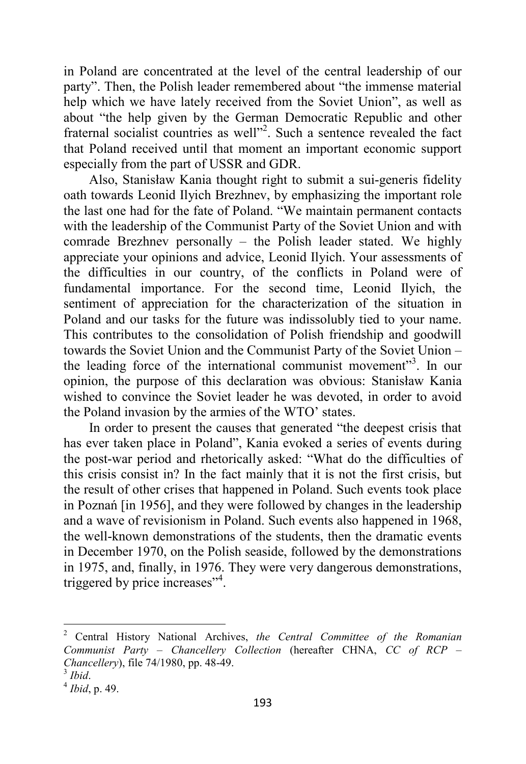in Poland are concentrated at the level of the central leadership of our party". Then, the Polish leader remembered about "the immense material help which we have lately received from the Soviet Union", as well as about "the help given by the German Democratic Republic and other fraternal socialist countries as well"<sup>2</sup>. Such a sentence revealed the fact that Poland received until that moment an important economic support especially from the part of USSR and GDR.

Also, Stanisław Kania thought right to submit a sui-generis fidelity oath towards Leonid Ilyich Brezhnev, by emphasizing the important role the last one had for the fate of Poland. "We maintain permanent contacts with the leadership of the Communist Party of the Soviet Union and with comrade Brezhnev personally – the Polish leader stated. We highly appreciate your opinions and advice, Leonid Ilyich. Your assessments of the difficulties in our country, of the conflicts in Poland were of fundamental importance. For the second time, Leonid Ilyich, the sentiment of appreciation for the characterization of the situation in Poland and our tasks for the future was indissolubly tied to your name. This contributes to the consolidation of Polish friendship and goodwill towards the Soviet Union and the Communist Party of the Soviet Union – the leading force of the international communist movement"<sup>3</sup>. In our opinion, the purpose of this declaration was obvious: Stanisław Kania wished to convince the Soviet leader he was devoted, in order to avoid the Poland invasion by the armies of the WTO' states.

In order to present the causes that generated "the deepest crisis that has ever taken place in Poland", Kania evoked a series of events during the post-war period and rhetorically asked: "What do the difficulties of this crisis consist in? In the fact mainly that it is not the first crisis, but the result of other crises that happened in Poland. Such events took place in Poznań [in 1956], and they were followed by changes in the leadership and a wave of revisionism in Poland. Such events also happened in 1968, the well-known demonstrations of the students, then the dramatic events in December 1970, on the Polish seaside, followed by the demonstrations in 1975, and, finally, in 1976. They were very dangerous demonstrations, triggered by price increases"<sup>4</sup>.

<sup>2</sup> Central History National Archives, *the Central Committee of the Romanian Communist Party – Chancellery Collection* (hereafter CHNA, *CC of RCP – Chancellery*), file 74/1980, pp. 48-49.

<sup>3</sup> *Ibid*.

<sup>4</sup> *Ibid*, p. 49.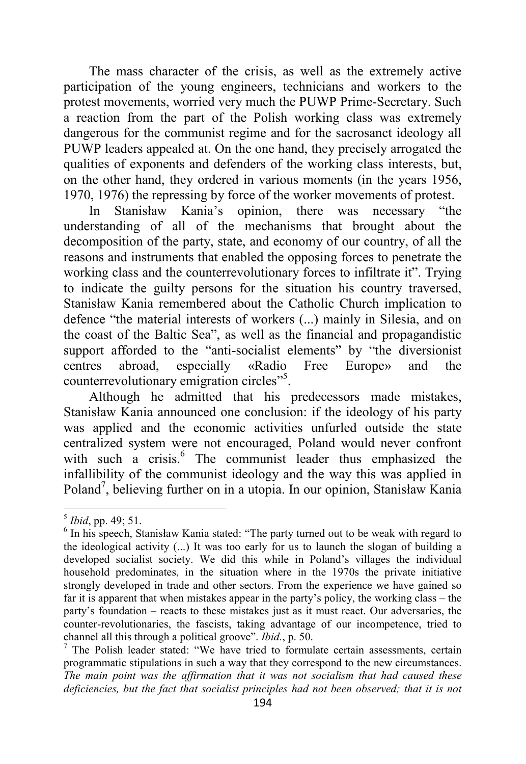The mass character of the crisis, as well as the extremely active participation of the young engineers, technicians and workers to the protest movements, worried very much the PUWP Prime-Secretary. Such a reaction from the part of the Polish working class was extremely dangerous for the communist regime and for the sacrosanct ideology all PUWP leaders appealed at. On the one hand, they precisely arrogated the qualities of exponents and defenders of the working class interests, but, on the other hand, they ordered in various moments (in the years 1956, 1970, 1976) the repressing by force of the worker movements of protest.

In Stanisław Kania's opinion, there was necessary "the understanding of all of the mechanisms that brought about the decomposition of the party, state, and economy of our country, of all the reasons and instruments that enabled the opposing forces to penetrate the working class and the counterrevolutionary forces to infiltrate it". Trying to indicate the guilty persons for the situation his country traversed, Stanisław Kania remembered about the Catholic Church implication to defence "the material interests of workers (...) mainly in Silesia, and on the coast of the Baltic Sea", as well as the financial and propagandistic support afforded to the "anti-socialist elements" by "the diversionist centres abroad, especially «Radio Free Europe» and the counterrevolutionary emigration circles"<sup>5</sup>.

Although he admitted that his predecessors made mistakes, Stanisław Kania announced one conclusion: if the ideology of his party was applied and the economic activities unfurled outside the state centralized system were not encouraged, Poland would never confront with such a crisis.<sup>6</sup> The communist leader thus emphasized the infallibility of the communist ideology and the way this was applied in Poland<sup>7</sup>, believing further on in a utopia. In our opinion, Stanisław Kania

<sup>5</sup> *Ibid*, pp. 49; 51.

<sup>&</sup>lt;sup>6</sup> In his speech, Stanisław Kania stated: "The party turned out to be weak with regard to the ideological activity (...) It was too early for us to launch the slogan of building a developed socialist society. We did this while in Poland's villages the individual household predominates, in the situation where in the 1970s the private initiative strongly developed in trade and other sectors. From the experience we have gained so far it is apparent that when mistakes appear in the party's policy, the working class – the party's foundation – reacts to these mistakes just as it must react. Our adversaries, the counter-revolutionaries, the fascists, taking advantage of our incompetence, tried to channel all this through a political groove". *Ibid.*, p. 50.

<sup>7</sup> The Polish leader stated: "We have tried to formulate certain assessments, certain programmatic stipulations in such a way that they correspond to the new circumstances. *The main point was the affirmation that it was not socialism that had caused these*  deficiencies, but the fact that socialist principles had not been observed; that it is not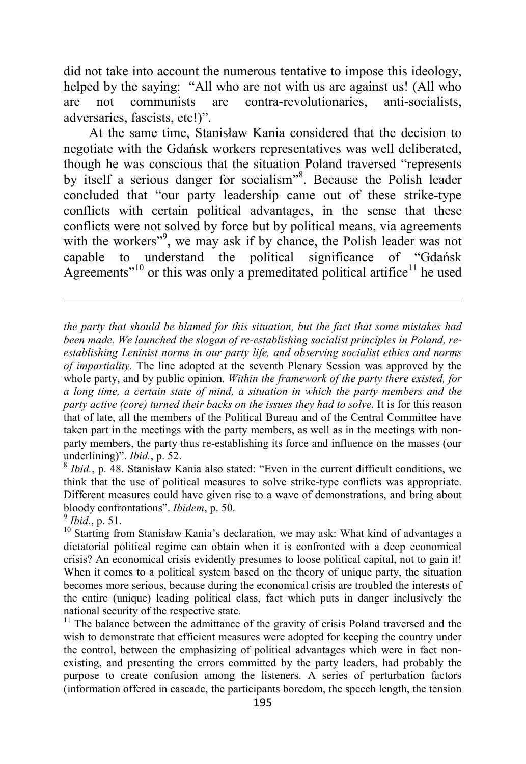did not take into account the numerous tentative to impose this ideology, helped by the saying: "All who are not with us are against us! (All who are not communists are contra-revolutionaries, anti-socialists, adversaries, fascists, etc!)".

At the same time, Stanisław Kania considered that the decision to negotiate with the Gdańsk workers representatives was well deliberated, though he was conscious that the situation Poland traversed "represents by itself a serious danger for socialism"<sup>8</sup>. Because the Polish leader concluded that "our party leadership came out of these strike-type conflicts with certain political advantages, in the sense that these conflicts were not solved by force but by political means, via agreements with the workers"<sup>9</sup>, we may ask if by chance, the Polish leader was not capable to understand the political significance of "Gdańsk Agreements<sup> $10$ </sup> or this was only a premeditated political artifice<sup>11</sup> he used

*the party that should be blamed for this situation, but the fact that some mistakes had been made. We launched the slogan of re-establishing socialist principles in Poland, reestablishing Leninist norms in our party life, and observing socialist ethics and norms of impartiality.* The line adopted at the seventh Plenary Session was approved by the whole party, and by public opinion. *Within the framework of the party there existed, for a long time, a certain state of mind, a situation in which the party members and the party active (core) turned their backs on the issues they had to solve.* It is for this reason that of late, all the members of the Political Bureau and of the Central Committee have taken part in the meetings with the party members, as well as in the meetings with nonparty members, the party thus re-establishing its force and influence on the masses (our underlining)". *Ibid.*, p. 52.

<sup>8</sup> Ibid., p. 48. Stanisław Kania also stated: "Even in the current difficult conditions, we think that the use of political measures to solve strike-type conflicts was appropriate. Different measures could have given rise to a wave of demonstrations, and bring about bloody confrontations". *Ibidem*, p. 50.

9 *Ibid.*, p. 51.

 $\overline{a}$ 

 $11$  The balance between the admittance of the gravity of crisis Poland traversed and the wish to demonstrate that efficient measures were adopted for keeping the country under the control, between the emphasizing of political advantages which were in fact nonexisting, and presenting the errors committed by the party leaders, had probably the purpose to create confusion among the listeners. A series of perturbation factors (information offered in cascade, the participants boredom, the speech length, the tension

 $10$  Starting from Stanisław Kania's declaration, we may ask: What kind of advantages a dictatorial political regime can obtain when it is confronted with a deep economical crisis? An economical crisis evidently presumes to loose political capital, not to gain it! When it comes to a political system based on the theory of unique party, the situation becomes more serious, because during the economical crisis are troubled the interests of the entire (unique) leading political class, fact which puts in danger inclusively the national security of the respective state.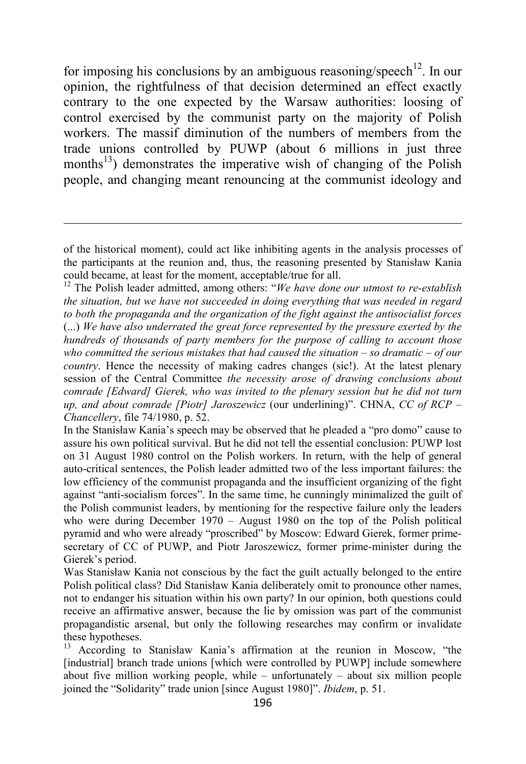for imposing his conclusions by an ambiguous reasoning/speech<sup>12</sup>. In our opinion, the rightfulness of that decision determined an effect exactly contrary to the one expected by the Warsaw authorities: loosing of control exercised by the communist party on the majority of Polish workers. The massif diminution of the numbers of members from the trade unions controlled by PUWP (about 6 millions in just three months<sup>13</sup>) demonstrates the imperative wish of changing of the Polish people, and changing meant renouncing at the communist ideology and

 $\overline{a}$ 

<sup>12</sup> The Polish leader admitted, among others: "*We have done our utmost to re-establish the situation, but we have not succeeded in doing everything that was needed in regard to both the propaganda and the organization of the fight against the antisocialist forces* (...) *We have also underrated the great force represented by the pressure exerted by the hundreds of thousands of party members for the purpose of calling to account those who committed the serious mistakes that had caused the situation – so dramatic – of our country*. Hence the necessity of making cadres changes (sic!). At the latest plenary session of the Central Committee *the necessity arose of drawing conclusions about comrade [Edward] Gierek, who was invited to the plenary session but he did not turn up, and about comrade [Piotr] Jaroszewicz* (our underlining)". CHNA, *CC of RCP – Chancellery*, file 74/1980, p. 52.

In the Stanisław Kania's speech may be observed that he pleaded a "pro domo" cause to assure his own political survival. But he did not tell the essential conclusion: PUWP lost on 31 August 1980 control on the Polish workers. In return, with the help of general auto-critical sentences, the Polish leader admitted two of the less important failures: the low efficiency of the communist propaganda and the insufficient organizing of the fight against "anti-socialism forces". In the same time, he cunningly minimalized the guilt of the Polish communist leaders, by mentioning for the respective failure only the leaders who were during December 1970 – August 1980 on the top of the Polish political pyramid and who were already "proscribed" by Moscow: Edward Gierek, former primesecretary of CC of PUWP, and Piotr Jaroszewicz, former prime-minister during the Gierek's period.

Was Stanisław Kania not conscious by the fact the guilt actually belonged to the entire Polish political class? Did Stanisław Kania deliberately omit to pronounce other names, not to endanger his situation within his own party? In our opinion, both questions could receive an affirmative answer, because the lie by omission was part of the communist propagandistic arsenal, but only the following researches may confirm or invalidate these hypotheses.<br> $^{13}$  According to

According to Stanisław Kania's affirmation at the reunion in Moscow, "the [industrial] branch trade unions [which were controlled by PUWP] include somewhere about five million working people, while – unfortunately – about six million people joined the "Solidarity" trade union [since August 1980]". *Ibidem*, p. 51.

of the historical moment), could act like inhibiting agents in the analysis processes of the participants at the reunion and, thus, the reasoning presented by Stanisław Kania could became, at least for the moment, acceptable/true for all.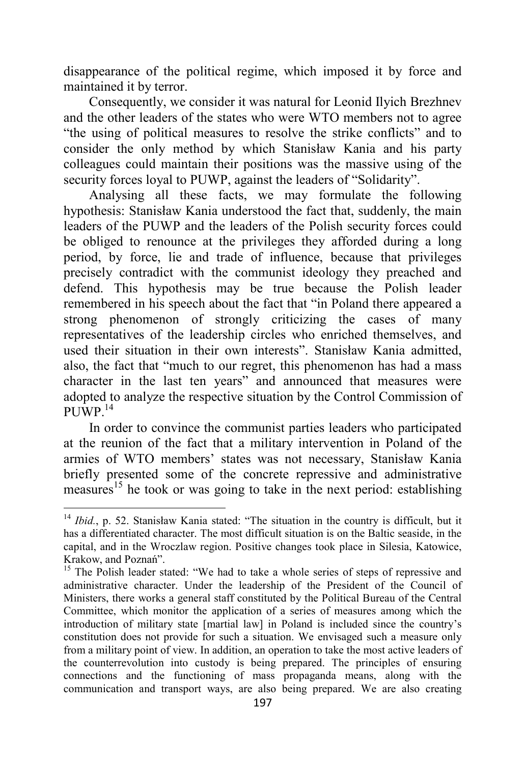disappearance of the political regime, which imposed it by force and maintained it by terror.

Consequently, we consider it was natural for Leonid Ilyich Brezhnev and the other leaders of the states who were WTO members not to agree "the using of political measures to resolve the strike conflicts" and to consider the only method by which Stanisław Kania and his party colleagues could maintain their positions was the massive using of the security forces loyal to PUWP, against the leaders of "Solidarity".

Analysing all these facts, we may formulate the following hypothesis: Stanisław Kania understood the fact that, suddenly, the main leaders of the PUWP and the leaders of the Polish security forces could be obliged to renounce at the privileges they afforded during a long period, by force, lie and trade of influence, because that privileges precisely contradict with the communist ideology they preached and defend. This hypothesis may be true because the Polish leader remembered in his speech about the fact that "in Poland there appeared a strong phenomenon of strongly criticizing the cases of many representatives of the leadership circles who enriched themselves, and used their situation in their own interests". Stanisław Kania admitted, also, the fact that "much to our regret, this phenomenon has had a mass character in the last ten years" and announced that measures were adopted to analyze the respective situation by the Control Commission of PUWP $^{14}$ 

In order to convince the communist parties leaders who participated at the reunion of the fact that a military intervention in Poland of the armies of WTO members' states was not necessary, Stanisław Kania briefly presented some of the concrete repressive and administrative measures<sup>15</sup> he took or was going to take in the next period: establishing

<sup>&</sup>lt;sup>14</sup> *Ibid.*, p. 52. Stanisław Kania stated: "The situation in the country is difficult, but it has a differentiated character. The most difficult situation is on the Baltic seaside, in the capital, and in the Wroczlaw region. Positive changes took place in Silesia, Katowice, Krakow, and Poznań".

<sup>&</sup>lt;sup>15</sup> The Polish leader stated: "We had to take a whole series of steps of repressive and administrative character. Under the leadership of the President of the Council of Ministers, there works a general staff constituted by the Political Bureau of the Central Committee, which monitor the application of a series of measures among which the introduction of military state [martial law] in Poland is included since the country's constitution does not provide for such a situation. We envisaged such a measure only from a military point of view. In addition, an operation to take the most active leaders of the counterrevolution into custody is being prepared. The principles of ensuring connections and the functioning of mass propaganda means, along with the communication and transport ways, are also being prepared. We are also creating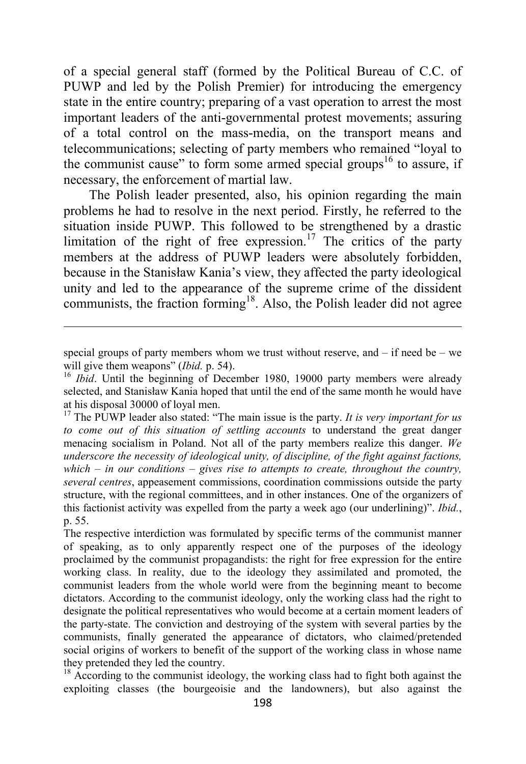of a special general staff (formed by the Political Bureau of C.C. of PUWP and led by the Polish Premier) for introducing the emergency state in the entire country; preparing of a vast operation to arrest the most important leaders of the anti-governmental protest movements; assuring of a total control on the mass-media, on the transport means and telecommunications; selecting of party members who remained "loyal to the communist cause" to form some armed special groups<sup>16</sup> to assure, if necessary, the enforcement of martial law.

The Polish leader presented, also, his opinion regarding the main problems he had to resolve in the next period. Firstly, he referred to the situation inside PUWP. This followed to be strengthened by a drastic limitation of the right of free expression.<sup>17</sup> The critics of the party members at the address of PUWP leaders were absolutely forbidden, because in the Stanisław Kania's view, they affected the party ideological unity and led to the appearance of the supreme crime of the dissident communists, the fraction forming<sup>18</sup>. Also, the Polish leader did not agree

special groups of party members whom we trust without reserve, and  $-$  if need be  $-$  we will give them weapons" (*Ibid.* p. 54).

<sup>&</sup>lt;sup>16</sup> *Ibid*. Until the beginning of December 1980, 19000 party members were already selected, and Stanisław Kania hoped that until the end of the same month he would have at his disposal 30000 of loyal men.

<sup>&</sup>lt;sup>17</sup> The PUWP leader also stated: "The main issue is the party. *It is very important for us to come out of this situation of settling accounts* to understand the great danger menacing socialism in Poland. Not all of the party members realize this danger. *We underscore the necessity of ideological unity, of discipline, of the fight against factions, which – in our conditions – gives rise to attempts to create, throughout the country, several centres*, appeasement commissions, coordination commissions outside the party structure, with the regional committees, and in other instances. One of the organizers of this factionist activity was expelled from the party a week ago (our underlining)". *Ibid.*, p. 55.

The respective interdiction was formulated by specific terms of the communist manner of speaking, as to only apparently respect one of the purposes of the ideology proclaimed by the communist propagandists: the right for free expression for the entire working class. In reality, due to the ideology they assimilated and promoted, the communist leaders from the whole world were from the beginning meant to become dictators. According to the communist ideology, only the working class had the right to designate the political representatives who would become at a certain moment leaders of the party-state. The conviction and destroying of the system with several parties by the communists, finally generated the appearance of dictators, who claimed/pretended social origins of workers to benefit of the support of the working class in whose name they pretended they led the country.

 $18$  According to the communist ideology, the working class had to fight both against the exploiting classes (the bourgeoisie and the landowners), but also against the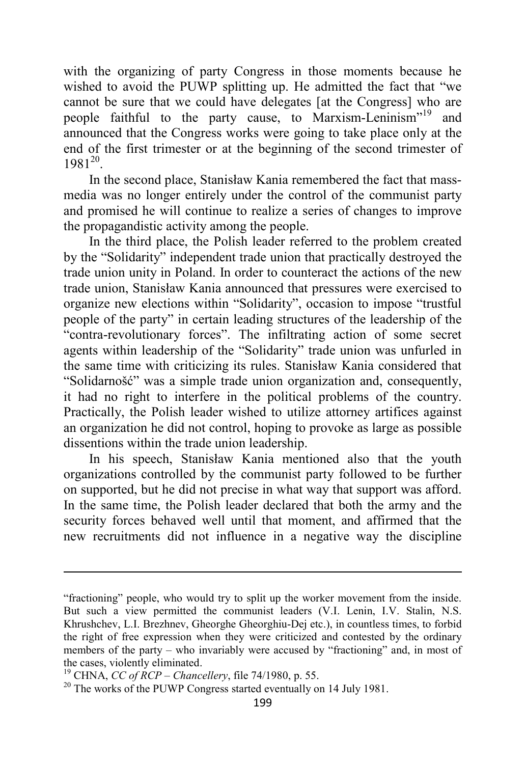with the organizing of party Congress in those moments because he wished to avoid the PUWP splitting up. He admitted the fact that "we cannot be sure that we could have delegates [at the Congress] who are people faithful to the party cause, to Marxism-Leninism"<sup>19</sup> and announced that the Congress works were going to take place only at the end of the first trimester or at the beginning of the second trimester of  $1981^{20}$ .

In the second place, Stanisław Kania remembered the fact that massmedia was no longer entirely under the control of the communist party and promised he will continue to realize a series of changes to improve the propagandistic activity among the people.

In the third place, the Polish leader referred to the problem created by the "Solidarity" independent trade union that practically destroyed the trade union unity in Poland. In order to counteract the actions of the new trade union, Stanisław Kania announced that pressures were exercised to organize new elections within "Solidarity", occasion to impose "trustful people of the party" in certain leading structures of the leadership of the "contra-revolutionary forces". The infiltrating action of some secret agents within leadership of the "Solidarity" trade union was unfurled in the same time with criticizing its rules. Stanisław Kania considered that "Solidarnošć" was a simple trade union organization and, consequently, it had no right to interfere in the political problems of the country. Practically, the Polish leader wished to utilize attorney artifices against an organization he did not control, hoping to provoke as large as possible dissentions within the trade union leadership.

In his speech, Stanisław Kania mentioned also that the youth organizations controlled by the communist party followed to be further on supported, but he did not precise in what way that support was afford. In the same time, the Polish leader declared that both the army and the security forces behaved well until that moment, and affirmed that the new recruitments did not influence in a negative way the discipline

<sup>&</sup>quot;fractioning" people, who would try to split up the worker movement from the inside. But such a view permitted the communist leaders (V.I. Lenin, I.V. Stalin, N.S. Khrushchev, L.I. Brezhnev, Gheorghe Gheorghiu-Dej etc.), in countless times, to forbid the right of free expression when they were criticized and contested by the ordinary members of the party – who invariably were accused by "fractioning" and, in most of the cases, violently eliminated.

<sup>19</sup> CHNA, *CC of RCP – Chancellery*, file 74/1980, p. 55.

<sup>&</sup>lt;sup>20</sup> The works of the PUWP Congress started eventually on 14 July 1981.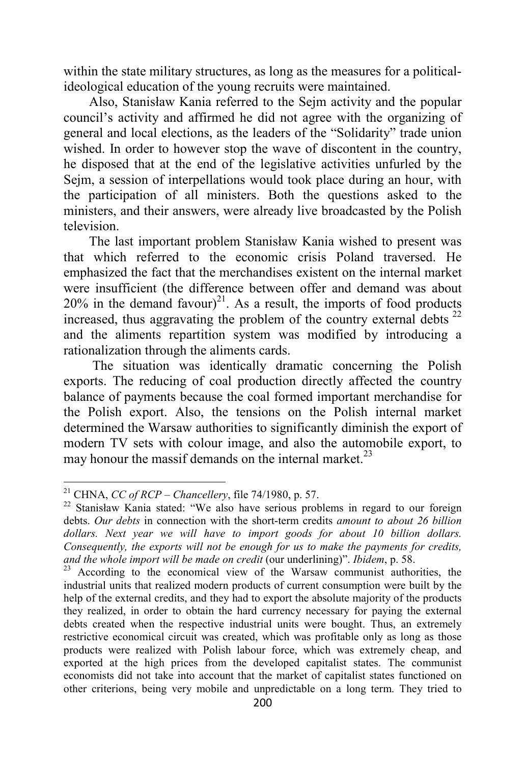within the state military structures, as long as the measures for a politicalideological education of the young recruits were maintained.

Also, Stanisław Kania referred to the Sejm activity and the popular council's activity and affirmed he did not agree with the organizing of general and local elections, as the leaders of the "Solidarity" trade union wished. In order to however stop the wave of discontent in the country, he disposed that at the end of the legislative activities unfurled by the Sejm, a session of interpellations would took place during an hour, with the participation of all ministers. Both the questions asked to the ministers, and their answers, were already live broadcasted by the Polish television.

The last important problem Stanisław Kania wished to present was that which referred to the economic crisis Poland traversed. He emphasized the fact that the merchandises existent on the internal market were insufficient (the difference between offer and demand was about  $20\%$  in the demand favour)<sup>21</sup>. As a result, the imports of food products increased, thus aggravating the problem of the country external debts  $^{22}$ and the aliments repartition system was modified by introducing a rationalization through the aliments cards.

 The situation was identically dramatic concerning the Polish exports. The reducing of coal production directly affected the country balance of payments because the coal formed important merchandise for the Polish export. Also, the tensions on the Polish internal market determined the Warsaw authorities to significantly diminish the export of modern TV sets with colour image, and also the automobile export, to may honour the massif demands on the internal market.<sup>23</sup>

<sup>&</sup>lt;sup>21</sup> CHNA, *CC of RCP – Chancellery*, file 74/1980, p. 57.

<sup>&</sup>lt;sup>22</sup> Stanisław Kania stated: "We also have serious problems in regard to our foreign debts. *Our debts* in connection with the short-term credits *amount to about 26 billion dollars. Next year we will have to import goods for about 10 billion dollars. Consequently, the exports will not be enough for us to make the payments for credits, and the whole import will be made on credit* (our underlining)". *Ibidem*, p. 58.

 $23$  According to the economical view of the Warsaw communist authorities, the industrial units that realized modern products of current consumption were built by the help of the external credits, and they had to export the absolute majority of the products they realized, in order to obtain the hard currency necessary for paying the external debts created when the respective industrial units were bought. Thus, an extremely restrictive economical circuit was created, which was profitable only as long as those products were realized with Polish labour force, which was extremely cheap, and exported at the high prices from the developed capitalist states. The communist economists did not take into account that the market of capitalist states functioned on other criterions, being very mobile and unpredictable on a long term. They tried to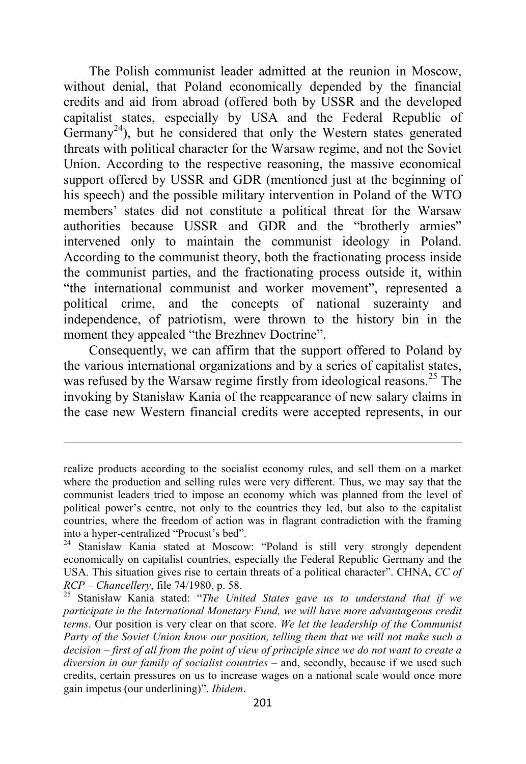The Polish communist leader admitted at the reunion in Moscow, without denial, that Poland economically depended by the financial credits and aid from abroad (offered both by USSR and the developed capitalist states, especially by USA and the Federal Republic of Germany<sup>24</sup>), but he considered that only the Western states generated threats with political character for the Warsaw regime, and not the Soviet Union. According to the respective reasoning, the massive economical support offered by USSR and GDR (mentioned just at the beginning of his speech) and the possible military intervention in Poland of the WTO members' states did not constitute a political threat for the Warsaw authorities because USSR and GDR and the "brotherly armies" intervened only to maintain the communist ideology in Poland. According to the communist theory, both the fractionating process inside the communist parties, and the fractionating process outside it, within "the international communist and worker movement", represented a political crime, and the concepts of national suzerainty and independence, of patriotism, were thrown to the history bin in the moment they appealed "the Brezhnev Doctrine".

Consequently, we can affirm that the support offered to Poland by the various international organizations and by a series of capitalist states, was refused by the Warsaw regime firstly from ideological reasons.<sup>25</sup> The invoking by Stanisław Kania of the reappearance of new salary claims in the case new Western financial credits were accepted represents, in our

realize products according to the socialist economy rules, and sell them on a market where the production and selling rules were very different. Thus, we may say that the communist leaders tried to impose an economy which was planned from the level of political power's centre, not only to the countries they led, but also to the capitalist countries, where the freedom of action was in flagrant contradiction with the framing into a hyper-centralized "Procust's bed".

<sup>24</sup> Stanisław Kania stated at Moscow: "Poland is still very strongly dependent economically on capitalist countries, especially the Federal Republic Germany and the USA. This situation gives rise to certain threats of a political character". CHNA, *CC of RCP – Chancellery*, file 74/1980, p. 58.

<sup>25</sup> Stanisław Kania stated: "*The United States gave us to understand that if we participate in the International Monetary Fund, we will have more advantageous credit terms*. Our position is very clear on that score. *We let the leadership of the Communist Party of the Soviet Union know our position, telling them that we will not make such a decision – first of all from the point of view of principle since we do not want to create a diversion in our family of socialist countries* – and, secondly, because if we used such credits, certain pressures on us to increase wages on a national scale would once more gain impetus (our underlining)". *Ibidem*.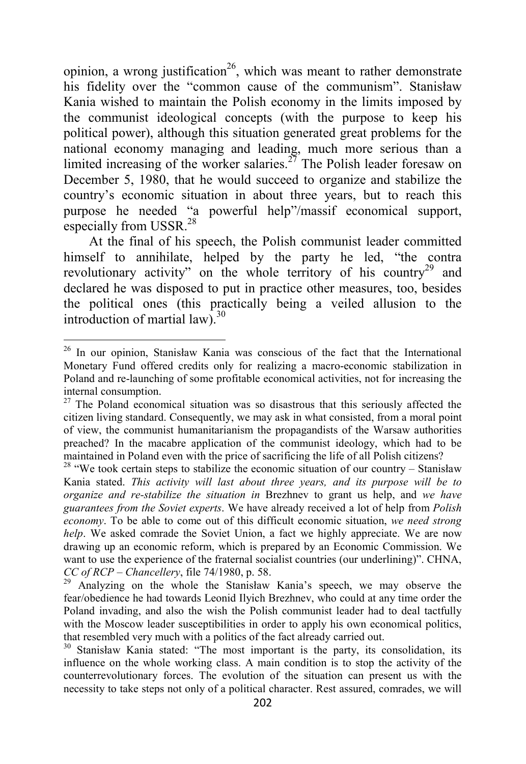opinion, a wrong justification<sup>26</sup>, which was meant to rather demonstrate his fidelity over the "common cause of the communism". Stanisław Kania wished to maintain the Polish economy in the limits imposed by the communist ideological concepts (with the purpose to keep his political power), although this situation generated great problems for the national economy managing and leading, much more serious than a limited increasing of the worker salaries.<sup>27</sup> The Polish leader foresaw on December 5, 1980, that he would succeed to organize and stabilize the country's economic situation in about three years, but to reach this purpose he needed "a powerful help"/massif economical support, especially from USSR.<sup>28</sup>

At the final of his speech, the Polish communist leader committed himself to annihilate, helped by the party he led, "the contra revolutionary activity" on the whole territory of his country<sup>29</sup> and declared he was disposed to put in practice other measures, too, besides the political ones (this practically being a veiled allusion to the introduction of martial law). $30<sup>30</sup>$ 

<sup>26</sup> In our opinion, Stanisław Kania was conscious of the fact that the International Monetary Fund offered credits only for realizing a macro-economic stabilization in Poland and re-launching of some profitable economical activities, not for increasing the internal consumption.

 $27$  The Poland economical situation was so disastrous that this seriously affected the citizen living standard. Consequently, we may ask in what consisted, from a moral point of view, the communist humanitarianism the propagandists of the Warsaw authorities preached? In the macabre application of the communist ideology, which had to be maintained in Poland even with the price of sacrificing the life of all Polish citizens?

 $28$  "We took certain steps to stabilize the economic situation of our country – Stanisław Kania stated. *This activity will last about three years, and its purpose will be to organize and re-stabilize the situation in* Brezhnev to grant us help, and *we have guarantees from the Soviet experts*. We have already received a lot of help from *Polish economy*. To be able to come out of this difficult economic situation, *we need strong help*. We asked comrade the Soviet Union, a fact we highly appreciate. We are now drawing up an economic reform, which is prepared by an Economic Commission. We want to use the experience of the fraternal socialist countries (our underlining)". CHNA, *CC of RCP – Chancellery*, file 74/1980, p. 58.

Analyzing on the whole the Stanisław Kania's speech, we may observe the fear/obedience he had towards Leonid Ilyich Brezhnev, who could at any time order the Poland invading, and also the wish the Polish communist leader had to deal tactfully with the Moscow leader susceptibilities in order to apply his own economical politics, that resembled very much with a politics of the fact already carried out.

<sup>&</sup>lt;sup>30</sup> Stanisław Kania stated: "The most important is the party, its consolidation, its influence on the whole working class. A main condition is to stop the activity of the counterrevolutionary forces. The evolution of the situation can present us with the necessity to take steps not only of a political character. Rest assured, comrades, we will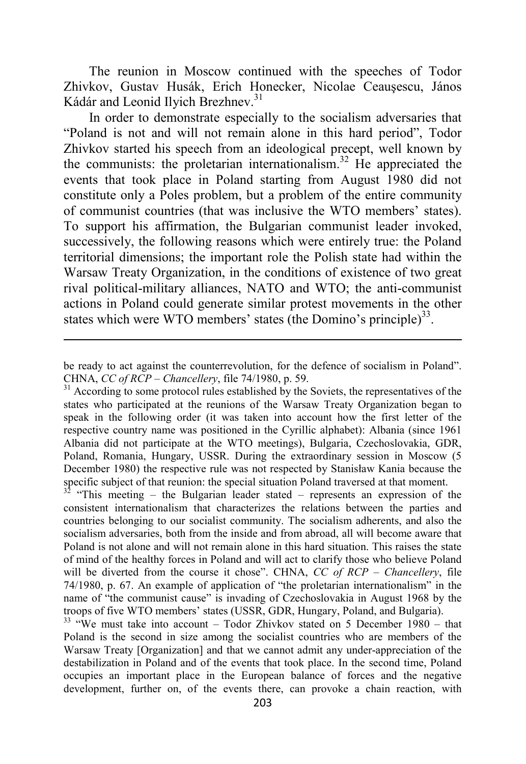The reunion in Moscow continued with the speeches of Todor Zhivkov, Gustav Husák, Erich Honecker, Nicolae Ceauşescu, János Kádár and Leonid Ilyich Brezhnev.<sup>31</sup>

In order to demonstrate especially to the socialism adversaries that "Poland is not and will not remain alone in this hard period", Todor Zhivkov started his speech from an ideological precept, well known by the communists: the proletarian internationalism.<sup>32</sup> He appreciated the events that took place in Poland starting from August 1980 did not constitute only a Poles problem, but a problem of the entire community of communist countries (that was inclusive the WTO members' states). To support his affirmation, the Bulgarian communist leader invoked, successively, the following reasons which were entirely true: the Poland territorial dimensions; the important role the Polish state had within the Warsaw Treaty Organization, in the conditions of existence of two great rival political-military alliances, NATO and WTO; the anti-communist actions in Poland could generate similar protest movements in the other states which were WTO members' states (the Domino's principle) $^{33}$ .

 $\overline{a}$ 

 $32$  "This meeting – the Bulgarian leader stated – represents an expression of the consistent internationalism that characterizes the relations between the parties and countries belonging to our socialist community. The socialism adherents, and also the socialism adversaries, both from the inside and from abroad, all will become aware that Poland is not alone and will not remain alone in this hard situation. This raises the state of mind of the healthy forces in Poland and will act to clarify those who believe Poland will be diverted from the course it chose". CHNA, *CC of RCP – Chancellery*, file 74/1980, p. 67. An example of application of "the proletarian internationalism" in the name of "the communist cause" is invading of Czechoslovakia in August 1968 by the troops of five WTO members' states (USSR, GDR, Hungary, Poland, and Bulgaria).

 $33$  "We must take into account – Todor Zhivkov stated on 5 December 1980 – that Poland is the second in size among the socialist countries who are members of the Warsaw Treaty [Organization] and that we cannot admit any under-appreciation of the destabilization in Poland and of the events that took place. In the second time, Poland occupies an important place in the European balance of forces and the negative development, further on, of the events there, can provoke a chain reaction, with

be ready to act against the counterrevolution, for the defence of socialism in Poland". CHNA, *CC of RCP – Chancellery*, file 74/1980, p. 59.

<sup>&</sup>lt;sup>31</sup> According to some protocol rules established by the Soviets, the representatives of the states who participated at the reunions of the Warsaw Treaty Organization began to speak in the following order (it was taken into account how the first letter of the respective country name was positioned in the Cyrillic alphabet): Albania (since 1961 Albania did not participate at the WTO meetings), Bulgaria, Czechoslovakia, GDR, Poland, Romania, Hungary, USSR. During the extraordinary session in Moscow (5 December 1980) the respective rule was not respected by Stanisław Kania because the specific subject of that reunion: the special situation Poland traversed at that moment.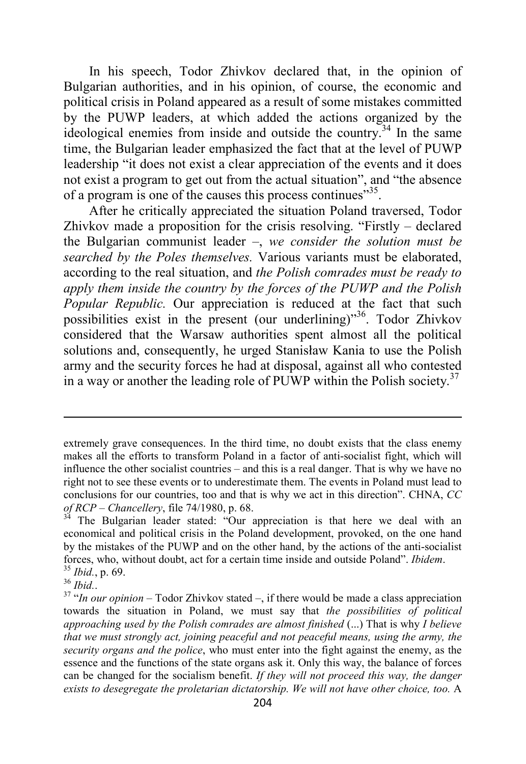In his speech, Todor Zhivkov declared that, in the opinion of Bulgarian authorities, and in his opinion, of course, the economic and political crisis in Poland appeared as a result of some mistakes committed by the PUWP leaders, at which added the actions organized by the ideological enemies from inside and outside the country.<sup>34</sup> In the same time, the Bulgarian leader emphasized the fact that at the level of PUWP leadership "it does not exist a clear appreciation of the events and it does not exist a program to get out from the actual situation", and "the absence of a program is one of the causes this process continues<sup>355</sup>.

After he critically appreciated the situation Poland traversed, Todor Zhivkov made a proposition for the crisis resolving. "Firstly – declared the Bulgarian communist leader –, *we consider the solution must be searched by the Poles themselves.* Various variants must be elaborated, according to the real situation, and *the Polish comrades must be ready to apply them inside the country by the forces of the PUWP and the Polish Popular Republic.* Our appreciation is reduced at the fact that such possibilities exist in the present (our underlining)"<sup>36</sup>. Todor Zhivkov considered that the Warsaw authorities spent almost all the political solutions and, consequently, he urged Stanisław Kania to use the Polish army and the security forces he had at disposal, against all who contested in a way or another the leading role of PUWP within the Polish society.<sup>37</sup>

extremely grave consequences. In the third time, no doubt exists that the class enemy makes all the efforts to transform Poland in a factor of anti-socialist fight, which will influence the other socialist countries – and this is a real danger. That is why we have no right not to see these events or to underestimate them. The events in Poland must lead to conclusions for our countries, too and that is why we act in this direction". CHNA, *CC of RCP – Chancellery*, file 74/1980, p. 68.

<sup>&</sup>lt;sup>34</sup> The Bulgarian leader stated: "Our appreciation is that here we deal with an economical and political crisis in the Poland development, provoked, on the one hand by the mistakes of the PUWP and on the other hand, by the actions of the anti-socialist forces, who, without doubt, act for a certain time inside and outside Poland". *Ibidem*. <sup>35</sup> *Ibid.*, p. 69.

<sup>36</sup> *Ibid.*.

<sup>37</sup> "*In our opinion* – Todor Zhivkov stated –, if there would be made a class appreciation towards the situation in Poland, we must say that *the possibilities of political approaching used by the Polish comrades are almost finished* (...) That is why *I believe that we must strongly act, joining peaceful and not peaceful means, using the army, the security organs and the police*, who must enter into the fight against the enemy, as the essence and the functions of the state organs ask it. Only this way, the balance of forces can be changed for the socialism benefit. *If they will not proceed this way, the danger exists to desegregate the proletarian dictatorship. We will not have other choice, too.* A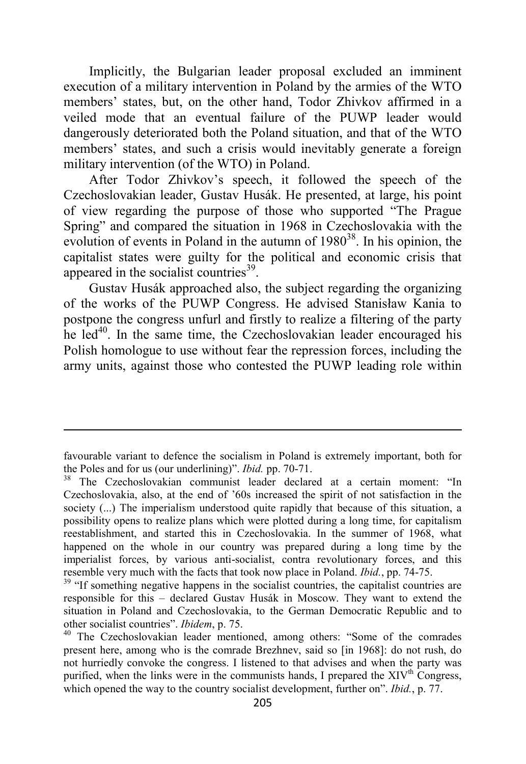Implicitly, the Bulgarian leader proposal excluded an imminent execution of a military intervention in Poland by the armies of the WTO members' states, but, on the other hand, Todor Zhivkov affirmed in a veiled mode that an eventual failure of the PUWP leader would dangerously deteriorated both the Poland situation, and that of the WTO members' states, and such a crisis would inevitably generate a foreign military intervention (of the WTO) in Poland.

After Todor Zhivkov's speech, it followed the speech of the Czechoslovakian leader, Gustav Husák. He presented, at large, his point of view regarding the purpose of those who supported "The Prague Spring" and compared the situation in 1968 in Czechoslovakia with the evolution of events in Poland in the autumn of  $1980<sup>38</sup>$ . In his opinion, the capitalist states were guilty for the political and economic crisis that appeared in the socialist countries $39$ .

Gustav Husák approached also, the subject regarding the organizing of the works of the PUWP Congress. He advised Stanisław Kania to postpone the congress unfurl and firstly to realize a filtering of the party he  $led<sup>40</sup>$ . In the same time, the Czechoslovakian leader encouraged his Polish homologue to use without fear the repression forces, including the army units, against those who contested the PUWP leading role within

favourable variant to defence the socialism in Poland is extremely important, both for the Poles and for us (our underlining)". *Ibid.* pp. 70-71.

<sup>&</sup>lt;sup>38</sup> The Czechoslovakian communist leader declared at a certain moment: "In Czechoslovakia, also, at the end of '60s increased the spirit of not satisfaction in the society (...) The imperialism understood quite rapidly that because of this situation, a possibility opens to realize plans which were plotted during a long time, for capitalism reestablishment, and started this in Czechoslovakia. In the summer of 1968, what happened on the whole in our country was prepared during a long time by the imperialist forces, by various anti-socialist, contra revolutionary forces, and this resemble very much with the facts that took now place in Poland. *Ibid.*, pp. 74-75.

<sup>&</sup>lt;sup>39</sup> "If something negative happens in the socialist countries, the capitalist countries are responsible for this – declared Gustav Husák in Moscow. They want to extend the situation in Poland and Czechoslovakia, to the German Democratic Republic and to other socialist countries". *Ibidem*, p. 75.

<sup>&</sup>lt;sup>40</sup> The Czechoslovakian leader mentioned, among others: "Some of the comrades present here, among who is the comrade Brezhnev, said so [in 1968]: do not rush, do not hurriedly convoke the congress. I listened to that advises and when the party was purified, when the links were in the communists hands, I prepared the  $XIV<sup>th</sup>$  Congress, which opened the way to the country socialist development, further on". *Ibid.*, p. 77.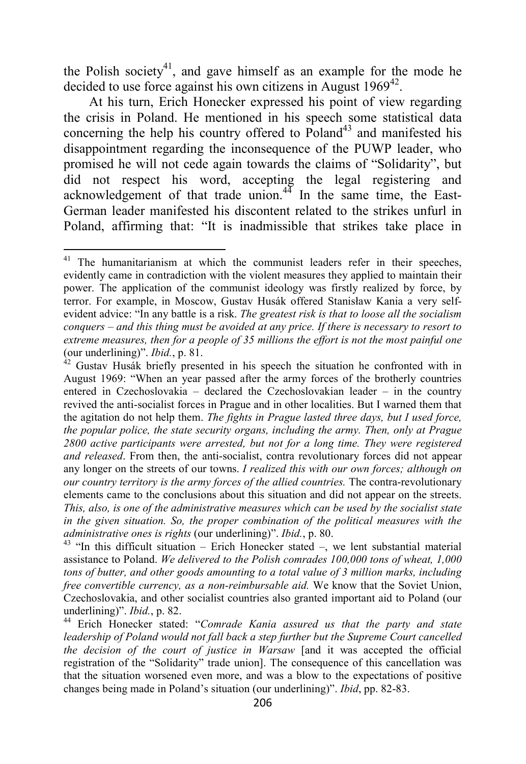the Polish society<sup>41</sup>, and gave himself as an example for the mode he decided to use force against his own citizens in August  $1969^{42}$ .

At his turn, Erich Honecker expressed his point of view regarding the crisis in Poland. He mentioned in his speech some statistical data concerning the help his country offered to  $P$ oland<sup>43</sup> and manifested his disappointment regarding the inconsequence of the PUWP leader, who promised he will not cede again towards the claims of "Solidarity", but did not respect his word, accepting the legal registering and acknowledgement of that trade union. $4\frac{3}{4}$  In the same time, the East-German leader manifested his discontent related to the strikes unfurl in Poland, affirming that: "It is inadmissible that strikes take place in

<sup>&</sup>lt;sup>41</sup> The humanitarianism at which the communist leaders refer in their speeches, evidently came in contradiction with the violent measures they applied to maintain their power. The application of the communist ideology was firstly realized by force, by terror. For example, in Moscow, Gustav Husák offered Stanisław Kania a very selfevident advice: "In any battle is a risk. *The greatest risk is that to loose all the socialism conquers – and this thing must be avoided at any price. If there is necessary to resort to extreme measures, then for a people of 35 millions the effort is not the most painful one* (our underlining)". *Ibid.*, p. 81.

 $42$  Gustav Husák briefly presented in his speech the situation he confronted with in August 1969: "When an year passed after the army forces of the brotherly countries entered in Czechoslovakia – declared the Czechoslovakian leader – in the country revived the anti-socialist forces in Prague and in other localities. But I warned them that the agitation do not help them. *The fights in Prague lasted three days, but I used force, the popular police, the state security organs, including the army. Then, only at Prague 2800 active participants were arrested, but not for a long time. They were registered and released*. From then, the anti-socialist, contra revolutionary forces did not appear any longer on the streets of our towns. *I realized this with our own forces; although on our country territory is the army forces of the allied countries.* The contra-revolutionary elements came to the conclusions about this situation and did not appear on the streets. *This, also, is one of the administrative measures which can be used by the socialist state in the given situation. So, the proper combination of the political measures with the administrative ones is rights* (our underlining)". *Ibid.*, p. 80.

 $43$  "In this difficult situation – Erich Honecker stated –, we lent substantial material assistance to Poland. *We delivered to the Polish comrades 100,000 tons of wheat, 1,000 tons of butter, and other goods amounting to a total value of 3 million marks, including free convertible currency, as a non-reimbursable aid.* We know that the Soviet Union, Czechoslovakia, and other socialist countries also granted important aid to Poland (our underlining)". *Ibid.*, p. 82.

<sup>44</sup> Erich Honecker stated: "*Comrade Kania assured us that the party and state leadership of Poland would not fall back a step further but the Supreme Court cancelled the decision of the court of justice in Warsaw* [and it was accepted the official registration of the "Solidarity" trade union]. The consequence of this cancellation was that the situation worsened even more, and was a blow to the expectations of positive changes being made in Poland's situation (our underlining)". *Ibid*, pp. 82-83.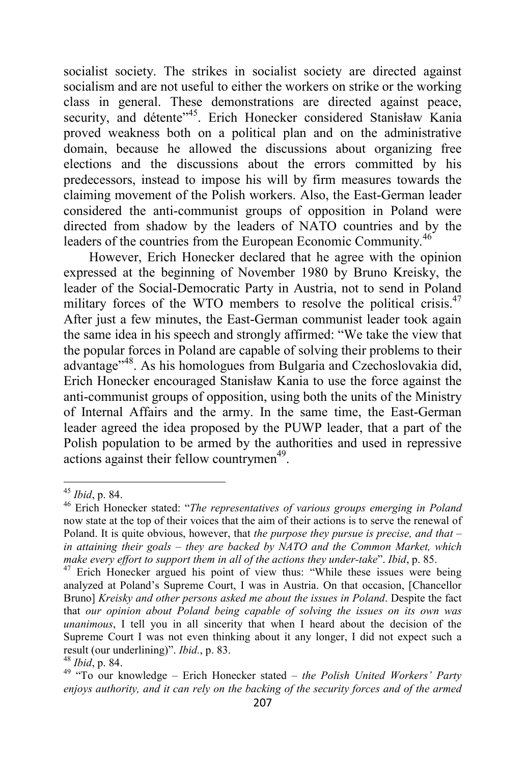socialist society. The strikes in socialist society are directed against socialism and are not useful to either the workers on strike or the working class in general. These demonstrations are directed against peace, security, and détente<sup>145</sup>. Erich Honecker considered Stanisław Kania proved weakness both on a political plan and on the administrative domain, because he allowed the discussions about organizing free elections and the discussions about the errors committed by his predecessors, instead to impose his will by firm measures towards the claiming movement of the Polish workers. Also, the East-German leader considered the anti-communist groups of opposition in Poland were directed from shadow by the leaders of NATO countries and by the leaders of the countries from the European Economic Community.<sup>46</sup>

However, Erich Honecker declared that he agree with the opinion expressed at the beginning of November 1980 by Bruno Kreisky, the leader of the Social-Democratic Party in Austria, not to send in Poland military forces of the WTO members to resolve the political crisis.<sup>47</sup> After just a few minutes, the East-German communist leader took again the same idea in his speech and strongly affirmed: "We take the view that the popular forces in Poland are capable of solving their problems to their advantage"<sup>48</sup>. As his homologues from Bulgaria and Czechoslovakia did, Erich Honecker encouraged Stanisław Kania to use the force against the anti-communist groups of opposition, using both the units of the Ministry of Internal Affairs and the army. In the same time, the East-German leader agreed the idea proposed by the PUWP leader, that a part of the Polish population to be armed by the authorities and used in repressive actions against their fellow countrymen<sup>49</sup>.

<sup>45</sup> *Ibid*, p. 84.

<sup>46</sup> Erich Honecker stated: "*The representatives of various groups emerging in Poland* now state at the top of their voices that the aim of their actions is to serve the renewal of Poland. It is quite obvious, however, that *the purpose they pursue is precise, and that – in attaining their goals – they are backed by NATO and the Common Market, which make every effort to support them in all of the actions they under-take*". *Ibid*, p. 85.

 $47$  Erich Honecker argued his point of view thus: "While these issues were being analyzed at Poland's Supreme Court, I was in Austria. On that occasion, [Chancellor Bruno] *Kreisky and other persons asked me about the issues in Poland*. Despite the fact that *our opinion about Poland being capable of solving the issues on its own was unanimous*, I tell you in all sincerity that when I heard about the decision of the Supreme Court I was not even thinking about it any longer, I did not expect such a result (our underlining)". *Ibid.*, p. 83.

<sup>48</sup> *Ibid*, p. 84.

<sup>49</sup> "To our knowledge – Erich Honecker stated – *the Polish United Workers' Party enjoys authority, and it can rely on the backing of the security forces and of the armed*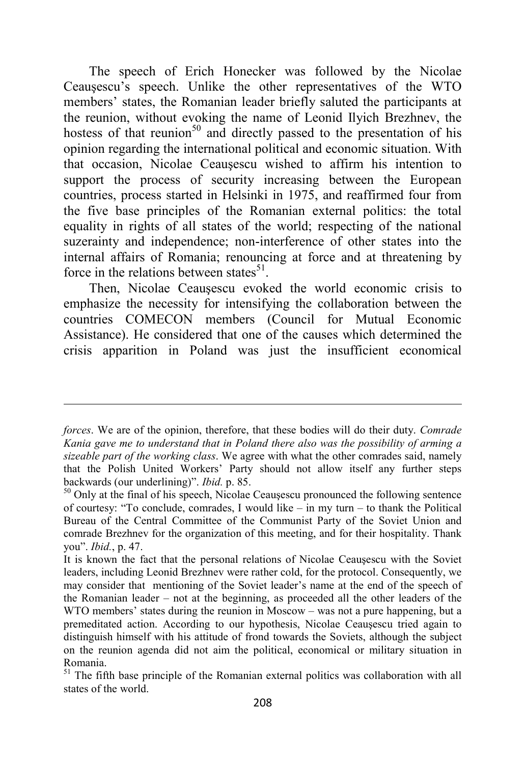The speech of Erich Honecker was followed by the Nicolae Ceauşescu's speech. Unlike the other representatives of the WTO members' states, the Romanian leader briefly saluted the participants at the reunion, without evoking the name of Leonid Ilyich Brezhnev, the hostess of that reunion<sup>50</sup> and directly passed to the presentation of his opinion regarding the international political and economic situation. With that occasion, Nicolae Ceauşescu wished to affirm his intention to support the process of security increasing between the European countries, process started in Helsinki in 1975, and reaffirmed four from the five base principles of the Romanian external politics: the total equality in rights of all states of the world; respecting of the national suzerainty and independence; non-interference of other states into the internal affairs of Romania; renouncing at force and at threatening by force in the relations between states<sup>51</sup>.

Then, Nicolae Ceauşescu evoked the world economic crisis to emphasize the necessity for intensifying the collaboration between the countries COMECON members (Council for Mutual Economic Assistance). He considered that one of the causes which determined the crisis apparition in Poland was just the insufficient economical

*forces*. We are of the opinion, therefore, that these bodies will do their duty. *Comrade Kania gave me to understand that in Poland there also was the possibility of arming a sizeable part of the working class*. We agree with what the other comrades said, namely that the Polish United Workers' Party should not allow itself any further steps backwards (our underlining)". *Ibid.* p. 85.

 $50$  Only at the final of his speech, Nicolae Ceauşescu pronounced the following sentence of courtesy: "To conclude, comrades, I would like  $-$  in my turn  $-$  to thank the Political Bureau of the Central Committee of the Communist Party of the Soviet Union and comrade Brezhnev for the organization of this meeting, and for their hospitality. Thank you". *Ibid.*, p. 47.

It is known the fact that the personal relations of Nicolae Ceauşescu with the Soviet leaders, including Leonid Brezhnev were rather cold, for the protocol. Consequently, we may consider that mentioning of the Soviet leader's name at the end of the speech of the Romanian leader – not at the beginning, as proceeded all the other leaders of the WTO members' states during the reunion in Moscow – was not a pure happening, but a premeditated action. According to our hypothesis, Nicolae Ceauşescu tried again to distinguish himself with his attitude of frond towards the Soviets, although the subject on the reunion agenda did not aim the political, economical or military situation in Romania.

<sup>&</sup>lt;sup>51</sup> The fifth base principle of the Romanian external politics was collaboration with all states of the world.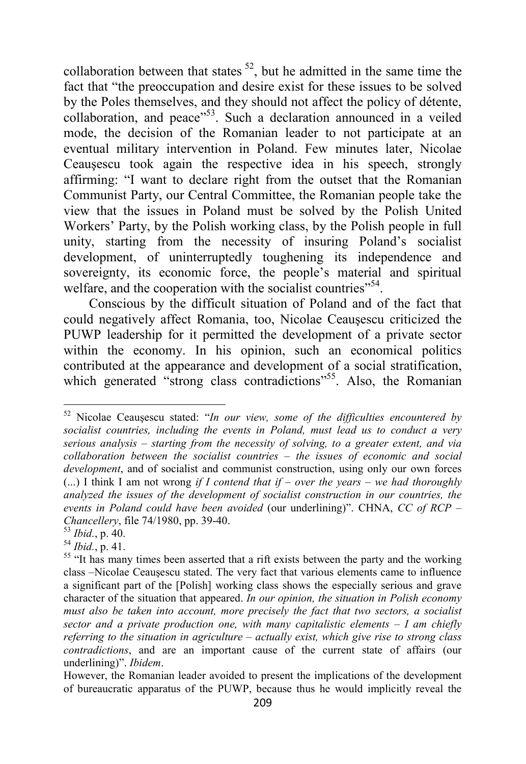collaboration between that states  $52$ , but he admitted in the same time the fact that "the preoccupation and desire exist for these issues to be solved by the Poles themselves, and they should not affect the policy of détente, collaboration, and peace"<sup>53</sup>. Such a declaration announced in a veiled mode, the decision of the Romanian leader to not participate at an eventual military intervention in Poland. Few minutes later, Nicolae Ceauşescu took again the respective idea in his speech, strongly affirming: "I want to declare right from the outset that the Romanian Communist Party, our Central Committee, the Romanian people take the view that the issues in Poland must be solved by the Polish United Workers' Party, by the Polish working class, by the Polish people in full unity, starting from the necessity of insuring Poland's socialist development, of uninterruptedly toughening its independence and sovereignty, its economic force, the people's material and spiritual welfare, and the cooperation with the socialist countries"<sup>54</sup>.

Conscious by the difficult situation of Poland and of the fact that could negatively affect Romania, too, Nicolae Ceauşescu criticized the PUWP leadership for it permitted the development of a private sector within the economy. In his opinion, such an economical politics contributed at the appearance and development of a social stratification, which generated "strong class contradictions"<sup>55</sup>. Also, the Romanian

<sup>52</sup> Nicolae Ceauşescu stated: "*In our view, some of the difficulties encountered by socialist countries, including the events in Poland, must lead us to conduct a very serious analysis – starting from the necessity of solving, to a greater extent, and via collaboration between the socialist countries – the issues of economic and social development*, and of socialist and communist construction, using only our own forces (...) I think I am not wrong *if I contend that if – over the years – we had thoroughly analyzed the issues of the development of socialist construction in our countries, the events in Poland could have been avoided* (our underlining)". CHNA, *CC of RCP – Chancellery*, file 74/1980, pp. 39-40.

<sup>53</sup> *Ibid.*, p. 40.

<sup>54</sup> *Ibid.*, p. 41.

<sup>&</sup>lt;sup>55</sup> "It has many times been asserted that a rift exists between the party and the working class –Nicolae Ceauşescu stated. The very fact that various elements came to influence a significant part of the [Polish] working class shows the especially serious and grave character of the situation that appeared. *In our opinion, the situation in Polish economy must also be taken into account, more precisely the fact that two sectors, a socialist sector and a private production one, with many capitalistic elements – I am chiefly referring to the situation in agriculture – actually exist, which give rise to strong class contradictions*, and are an important cause of the current state of affairs (our underlining)". *Ibidem*.

However, the Romanian leader avoided to present the implications of the development of bureaucratic apparatus of the PUWP, because thus he would implicitly reveal the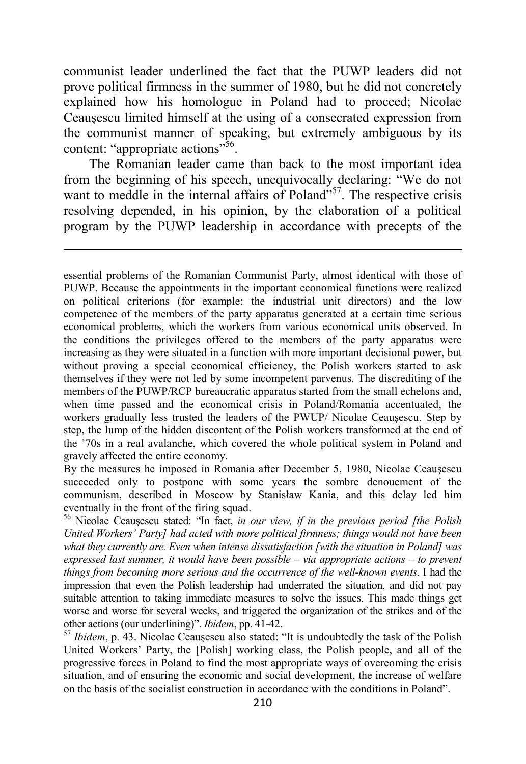communist leader underlined the fact that the PUWP leaders did not prove political firmness in the summer of 1980, but he did not concretely explained how his homologue in Poland had to proceed; Nicolae Ceauşescu limited himself at the using of a consecrated expression from the communist manner of speaking, but extremely ambiguous by its content: "appropriate actions"<sup>56</sup>.

The Romanian leader came than back to the most important idea from the beginning of his speech, unequivocally declaring: "We do not want to meddle in the internal affairs of Poland"<sup>57</sup>. The respective crisis resolving depended, in his opinion, by the elaboration of a political program by the PUWP leadership in accordance with precepts of the

l

essential problems of the Romanian Communist Party, almost identical with those of PUWP. Because the appointments in the important economical functions were realized on political criterions (for example: the industrial unit directors) and the low competence of the members of the party apparatus generated at a certain time serious economical problems, which the workers from various economical units observed. In the conditions the privileges offered to the members of the party apparatus were increasing as they were situated in a function with more important decisional power, but without proving a special economical efficiency, the Polish workers started to ask themselves if they were not led by some incompetent parvenus. The discrediting of the members of the PUWP/RCP bureaucratic apparatus started from the small echelons and, when time passed and the economical crisis in Poland/Romania accentuated, the workers gradually less trusted the leaders of the PWUP/ Nicolae Ceauşescu. Step by step, the lump of the hidden discontent of the Polish workers transformed at the end of the '70s in a real avalanche, which covered the whole political system in Poland and gravely affected the entire economy.

By the measures he imposed in Romania after December 5, 1980, Nicolae Ceauşescu succeeded only to postpone with some years the sombre denouement of the communism, described in Moscow by Stanisław Kania, and this delay led him eventually in the front of the firing squad.

<sup>56</sup> Nicolae Ceauşescu stated: "In fact, *in our view, if in the previous period [the Polish United Workers' Party] had acted with more political firmness; things would not have been what they currently are. Even when intense dissatisfaction [with the situation in Poland] was expressed last summer, it would have been possible – via appropriate actions – to prevent things from becoming more serious and the occurrence of the well-known events*. I had the impression that even the Polish leadership had underrated the situation, and did not pay suitable attention to taking immediate measures to solve the issues. This made things get worse and worse for several weeks, and triggered the organization of the strikes and of the other actions (our underlining)". *Ibidem*, pp. 41-42.

<sup>57</sup> *Ibidem*, p. 43. Nicolae Ceauşescu also stated: "It is undoubtedly the task of the Polish United Workers' Party, the [Polish] working class, the Polish people, and all of the progressive forces in Poland to find the most appropriate ways of overcoming the crisis situation, and of ensuring the economic and social development, the increase of welfare on the basis of the socialist construction in accordance with the conditions in Poland".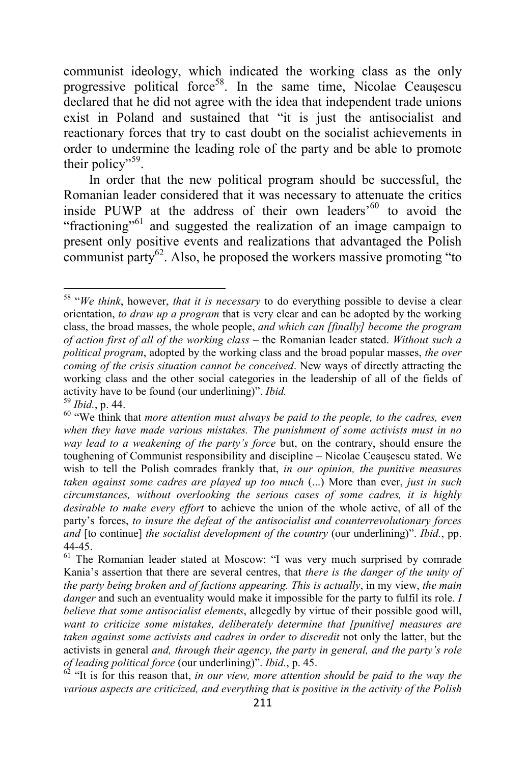communist ideology, which indicated the working class as the only progressive political force<sup>58</sup>. In the same time, Nicolae Ceausescu declared that he did not agree with the idea that independent trade unions exist in Poland and sustained that "it is just the antisocialist and reactionary forces that try to cast doubt on the socialist achievements in order to undermine the leading role of the party and be able to promote their policy"<sup>59</sup>.

In order that the new political program should be successful, the Romanian leader considered that it was necessary to attenuate the critics inside PUWP at the address of their own leaders'<sup>60</sup> to avoid the "fractioning"<sup>61</sup> and suggested the realization of an image campaign to present only positive events and realizations that advantaged the Polish communist party $62$ . Also, he proposed the workers massive promoting "to"

<sup>58</sup> "*We think*, however, *that it is necessary* to do everything possible to devise a clear orientation, *to draw up a program* that is very clear and can be adopted by the working class, the broad masses, the whole people, *and which can [finally] become the program of action first of all of the working class* – the Romanian leader stated. *Without such a political program*, adopted by the working class and the broad popular masses, *the over coming of the crisis situation cannot be conceived*. New ways of directly attracting the working class and the other social categories in the leadership of all of the fields of activity have to be found (our underlining)". *Ibid.*

<sup>59</sup> *Ibid.*, p. 44.

<sup>60</sup> "We think that *more attention must always be paid to the people, to the cadres, even when they have made various mistakes. The punishment of some activists must in no way lead to a weakening of the party's force* but, on the contrary, should ensure the toughening of Communist responsibility and discipline – Nicolae Ceauşescu stated. We wish to tell the Polish comrades frankly that, *in our opinion, the punitive measures taken against some cadres are played up too much* (...) More than ever, *just in such circumstances, without overlooking the serious cases of some cadres, it is highly desirable to make every effort* to achieve the union of the whole active, of all of the party's forces, *to insure the defeat of the antisocialist and counterrevolutionary forces and* [to continue] *the socialist development of the country* (our underlining)". *Ibid.*, pp. 44-45.

<sup>&</sup>lt;sup>61</sup> The Romanian leader stated at Moscow: "I was very much surprised by comrade Kania's assertion that there are several centres, that *there is the danger of the unity of the party being broken and of factions appearing. This is actually*, in my view, *the main danger* and such an eventuality would make it impossible for the party to fulfil its role. *I believe that some antisocialist elements*, allegedly by virtue of their possible good will, *want to criticize some mistakes, deliberately determine that [punitive] measures are taken against some activists and cadres in order to discredit* not only the latter, but the activists in general *and, through their agency, the party in general, and the party's role of leading political force* (our underlining)". *Ibid.*, p. 45.

<sup>&</sup>lt;sup>62</sup> "It is for this reason that, *in our view, more attention should be paid to the way the various aspects are criticized, and everything that is positive in the activity of the Polish*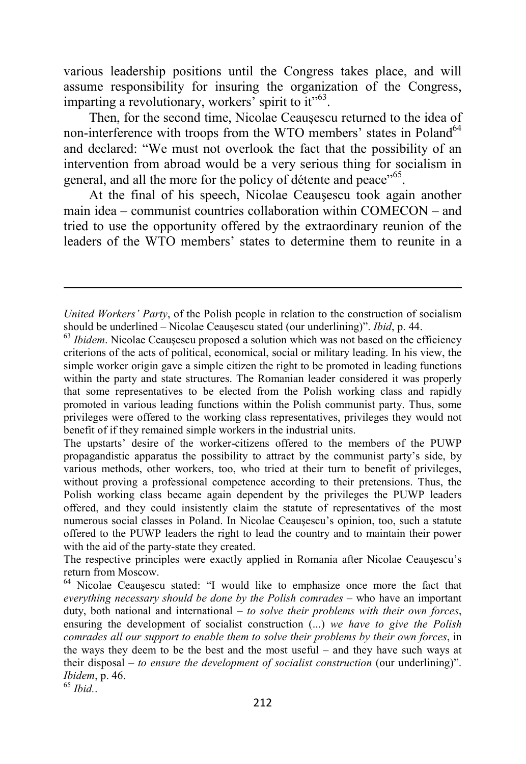various leadership positions until the Congress takes place, and will assume responsibility for insuring the organization of the Congress, imparting a revolutionary, workers' spirit to it"<sup>63</sup>.

Then, for the second time, Nicolae Ceauşescu returned to the idea of non-interference with troops from the WTO members' states in Poland<sup>64</sup> and declared: "We must not overlook the fact that the possibility of an intervention from abroad would be a very serious thing for socialism in general, and all the more for the policy of détente and peace"<sup>65</sup>.

At the final of his speech, Nicolae Ceauşescu took again another main idea – communist countries collaboration within COMECON – and tried to use the opportunity offered by the extraordinary reunion of the leaders of the WTO members' states to determine them to reunite in a

The upstarts' desire of the worker-citizens offered to the members of the PUWP propagandistic apparatus the possibility to attract by the communist party's side, by various methods, other workers, too, who tried at their turn to benefit of privileges, without proving a professional competence according to their pretensions. Thus, the Polish working class became again dependent by the privileges the PUWP leaders offered, and they could insistently claim the statute of representatives of the most numerous social classes in Poland. In Nicolae Ceauşescu's opinion, too, such a statute offered to the PUWP leaders the right to lead the country and to maintain their power with the aid of the party-state they created.

The respective principles were exactly applied in Romania after Nicolae Ceauşescu's return from Moscow.

<sup>64</sup> Nicolae Ceauşescu stated: "I would like to emphasize once more the fact that *everything necessary should be done by the Polish comrades* – who have an important duty, both national and international – *to solve their problems with their own forces*, ensuring the development of socialist construction (...) *we have to give the Polish comrades all our support to enable them to solve their problems by their own forces*, in the ways they deem to be the best and the most useful – and they have such ways at their disposal – *to ensure the development of socialist construction* (our underlining)". *Ibidem*, p. 46.

<sup>65</sup> *Ibid.*.

*United Workers' Party*, of the Polish people in relation to the construction of socialism should be underlined – Nicolae Ceauşescu stated (our underlining)". *Ibid*, p. 44.

<sup>&</sup>lt;sup>63</sup> *Ibidem*. Nicolae Ceaușescu proposed a solution which was not based on the efficiency criterions of the acts of political, economical, social or military leading. In his view, the simple worker origin gave a simple citizen the right to be promoted in leading functions within the party and state structures. The Romanian leader considered it was properly that some representatives to be elected from the Polish working class and rapidly promoted in various leading functions within the Polish communist party. Thus, some privileges were offered to the working class representatives, privileges they would not benefit of if they remained simple workers in the industrial units.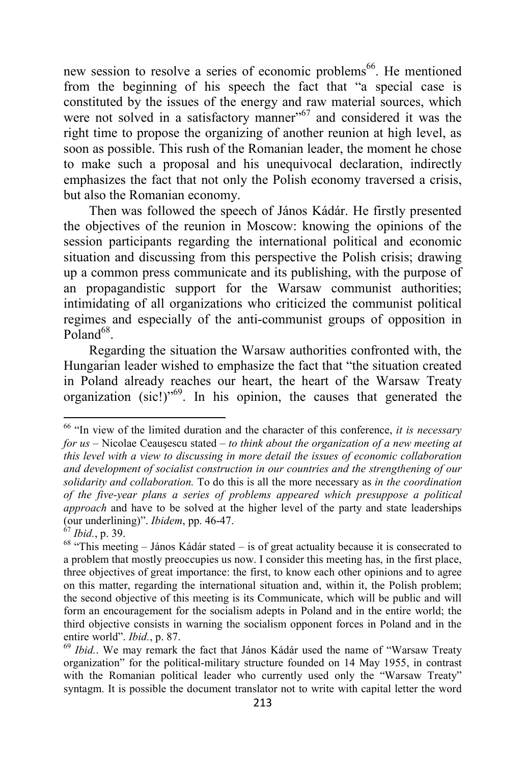new session to resolve a series of economic problems <sup>66</sup>. He mentioned from the beginning of his speech the fact that "a special case is constituted by the issues of the energy and raw material sources, which were not solved in a satisfactory manner<sup>567</sup> and considered it was the right time to propose the organizing of another reunion at high level, as soon as possible. This rush of the Romanian leader, the moment he chose to make such a proposal and his unequivocal declaration, indirectly emphasizes the fact that not only the Polish economy traversed a crisis, but also the Romanian economy.

Then was followed the speech of János Kádár. He firstly presented the objectives of the reunion in Moscow: knowing the opinions of the session participants regarding the international political and economic situation and discussing from this perspective the Polish crisis; drawing up a common press communicate and its publishing, with the purpose of an propagandistic support for the Warsaw communist authorities; intimidating of all organizations who criticized the communist political regimes and especially of the anti-communist groups of opposition in  $Poland^{68}$ .

Regarding the situation the Warsaw authorities confronted with, the Hungarian leader wished to emphasize the fact that "the situation created in Poland already reaches our heart, the heart of the Warsaw Treaty organization  $(sic!)^{509}$ . In his opinion, the causes that generated the

 $\overline{\phantom{0}}$ 

<sup>66</sup> "In view of the limited duration and the character of this conference, *it is necessary for us* – Nicolae Ceauşescu stated – *to think about the organization of a new meeting at this level with a view to discussing in more detail the issues of economic collaboration and development of socialist construction in our countries and the strengthening of our solidarity and collaboration.* To do this is all the more necessary as *in the coordination of the five-year plans a series of problems appeared which presuppose a political approach* and have to be solved at the higher level of the party and state leaderships (our underlining)". *Ibidem*, pp. 46-47.

<sup>67</sup> *Ibid.*, p. 39.

 $68$  "This meeting – János Kádár stated – is of great actuality because it is consecrated to a problem that mostly preoccupies us now. I consider this meeting has, in the first place, three objectives of great importance: the first, to know each other opinions and to agree on this matter, regarding the international situation and, within it, the Polish problem; the second objective of this meeting is its Communicate, which will be public and will form an encouragement for the socialism adepts in Poland and in the entire world; the third objective consists in warning the socialism opponent forces in Poland and in the entire world". *Ibid.*, p. 87.

<sup>69</sup> *Ibid.*. We may remark the fact that János Kádár used the name of "Warsaw Treaty organization" for the political-military structure founded on 14 May 1955, in contrast with the Romanian political leader who currently used only the "Warsaw Treaty" syntagm. It is possible the document translator not to write with capital letter the word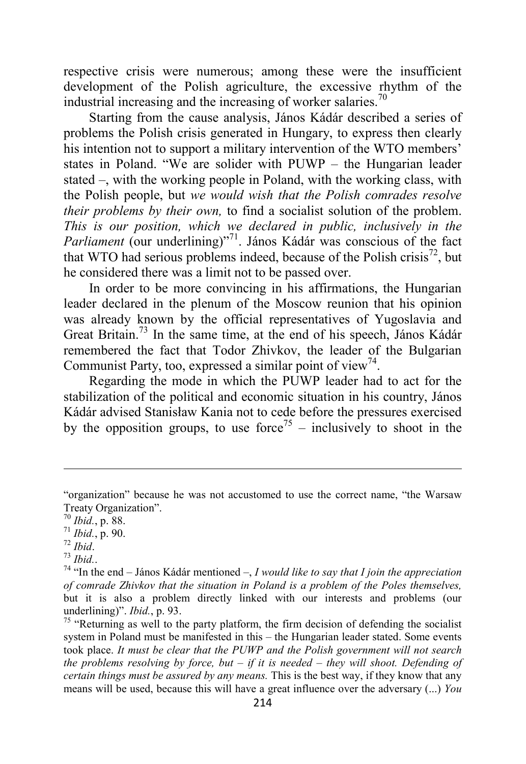respective crisis were numerous; among these were the insufficient development of the Polish agriculture, the excessive rhythm of the industrial increasing and the increasing of worker salaries.<sup>70</sup>

Starting from the cause analysis, János Kádár described a series of problems the Polish crisis generated in Hungary, to express then clearly his intention not to support a military intervention of the WTO members' states in Poland. "We are solider with PUWP – the Hungarian leader stated –, with the working people in Poland, with the working class, with the Polish people, but *we would wish that the Polish comrades resolve their problems by their own,* to find a socialist solution of the problem. *This is our position, which we declared in public, inclusively in the Parliament* (our underlining)<sup>"71</sup>. János Kádár was conscious of the fact that WTO had serious problems indeed, because of the Polish crisis<sup>72</sup>, but he considered there was a limit not to be passed over.

In order to be more convincing in his affirmations, the Hungarian leader declared in the plenum of the Moscow reunion that his opinion was already known by the official representatives of Yugoslavia and Great Britain.<sup>73</sup> In the same time, at the end of his speech, János Kádár remembered the fact that Todor Zhivkov, the leader of the Bulgarian Communist Party, too, expressed a similar point of view<sup>74</sup>.

Regarding the mode in which the PUWP leader had to act for the stabilization of the political and economic situation in his country, János Kádár advised Stanisław Kania not to cede before the pressures exercised by the opposition groups, to use force<sup>75</sup> – inclusively to shoot in the

<sup>&</sup>quot;organization" because he was not accustomed to use the correct name, "the Warsaw Treaty Organization".

<sup>70</sup> *Ibid.*, p. 88.

<sup>71</sup> *Ibid.*, p. 90.

<sup>72</sup> *Ibid*.

<sup>73</sup> *Ibid.*.

<sup>74</sup> "In the end – János Kádár mentioned –, *I would like to say that I join the appreciation of comrade Zhivkov that the situation in Poland is a problem of the Poles themselves,*  but it is also a problem directly linked with our interests and problems (our underlining)". *Ibid.*, p. 93.

<sup>&</sup>lt;sup>75</sup> "Returning as well to the party platform, the firm decision of defending the socialist system in Poland must be manifested in this – the Hungarian leader stated. Some events took place. *It must be clear that the PUWP and the Polish government will not search the problems resolving by force, but – if it is needed – they will shoot. Defending of certain things must be assured by any means.* This is the best way, if they know that any means will be used, because this will have a great influence over the adversary (...) *You*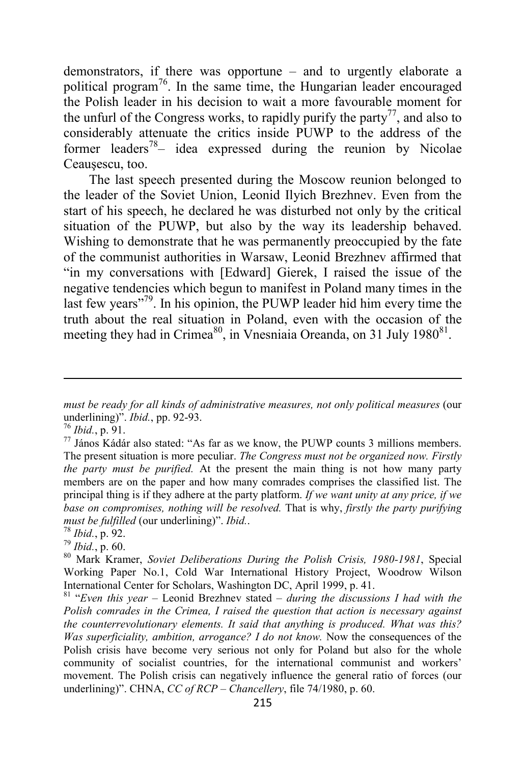demonstrators, if there was opportune – and to urgently elaborate a political program<sup>76</sup>. In the same time, the Hungarian leader encouraged the Polish leader in his decision to wait a more favourable moment for the unfurl of the Congress works, to rapidly purify the party<sup>77</sup>, and also to considerably attenuate the critics inside PUWP to the address of the former leaders<sup>78</sup>– idea expressed during the reunion by Nicolae Ceauşescu, too.

The last speech presented during the Moscow reunion belonged to the leader of the Soviet Union, Leonid Ilyich Brezhnev. Even from the start of his speech, he declared he was disturbed not only by the critical situation of the PUWP, but also by the way its leadership behaved. Wishing to demonstrate that he was permanently preoccupied by the fate of the communist authorities in Warsaw, Leonid Brezhnev affirmed that "in my conversations with [Edward] Gierek, I raised the issue of the negative tendencies which begun to manifest in Poland many times in the last few years<sup>"79</sup>. In his opinion, the PUWP leader hid him every time the truth about the real situation in Poland, even with the occasion of the meeting they had in Crimea<sup>80</sup>, in Vnesniaia Oreanda, on 31 July 1980<sup>81</sup>.

*must be ready for all kinds of administrative measures, not only political measures* (our underlining)". *Ibid.*, pp. 92-93.

<sup>76</sup> *Ibid.*, p. 91.

 $^{77}$  János Kádár also stated: "As far as we know, the PUWP counts 3 millions members. The present situation is more peculiar. *The Congress must not be organized now. Firstly the party must be purified.* At the present the main thing is not how many party members are on the paper and how many comrades comprises the classified list. The principal thing is if they adhere at the party platform. *If we want unity at any price, if we base on compromises, nothing will be resolved.* That is why, *firstly the party purifying must be fulfilled* (our underlining)". *Ibid.*.

<sup>78</sup> *Ibid.*, p. 92.

<sup>79</sup> *Ibid.*, p. 60.

<sup>80</sup> Mark Kramer, *Soviet Deliberations During the Polish Crisis, 1980-1981*, Special Working Paper No.1, Cold War International History Project, Woodrow Wilson International Center for Scholars, Washington DC, April 1999, p. 41.

<sup>81</sup> "*Even this year* – Leonid Brezhnev stated – *during the discussions I had with the Polish comrades in the Crimea, I raised the question that action is necessary against the counterrevolutionary elements. It said that anything is produced. What was this? Was superficiality, ambition, arrogance? I do not know.* Now the consequences of the Polish crisis have become very serious not only for Poland but also for the whole community of socialist countries, for the international communist and workers' movement. The Polish crisis can negatively influence the general ratio of forces (our underlining)". CHNA, *CC of RCP – Chancellery*, file 74/1980, p. 60.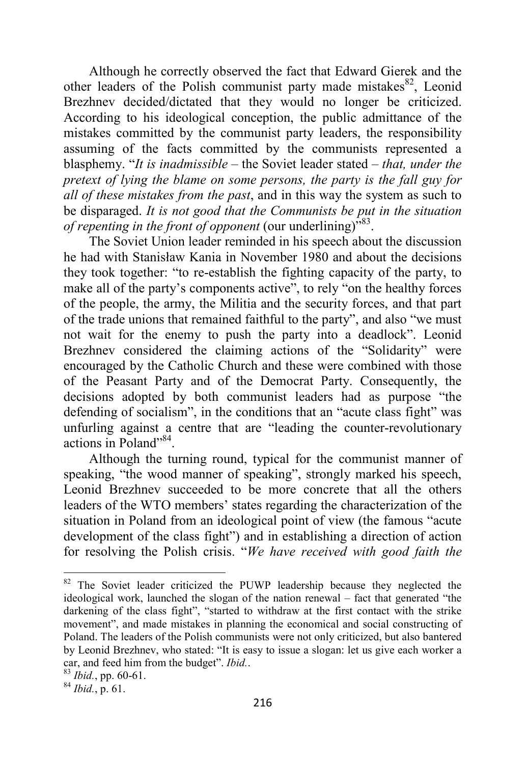Although he correctly observed the fact that Edward Gierek and the other leaders of the Polish communist party made mistakes $82$ , Leonid Brezhnev decided/dictated that they would no longer be criticized. According to his ideological conception, the public admittance of the mistakes committed by the communist party leaders, the responsibility assuming of the facts committed by the communists represented a blasphemy. "*It is inadmissible* – the Soviet leader stated – *that, under the pretext of lying the blame on some persons, the party is the fall guy for all of these mistakes from the past*, and in this way the system as such to be disparaged. *It is not good that the Communists be put in the situation*  of repenting in the front of opponent (our underlining)<sup>583</sup>.

The Soviet Union leader reminded in his speech about the discussion he had with Stanisław Kania in November 1980 and about the decisions they took together: "to re-establish the fighting capacity of the party, to make all of the party's components active", to rely "on the healthy forces of the people, the army, the Militia and the security forces, and that part of the trade unions that remained faithful to the party", and also "we must not wait for the enemy to push the party into a deadlock". Leonid Brezhnev considered the claiming actions of the "Solidarity" were encouraged by the Catholic Church and these were combined with those of the Peasant Party and of the Democrat Party. Consequently, the decisions adopted by both communist leaders had as purpose "the defending of socialism", in the conditions that an "acute class fight" was unfurling against a centre that are "leading the counter-revolutionary actions in Poland"<sup>84</sup>.

Although the turning round, typical for the communist manner of speaking, "the wood manner of speaking", strongly marked his speech, Leonid Brezhnev succeeded to be more concrete that all the others leaders of the WTO members' states regarding the characterization of the situation in Poland from an ideological point of view (the famous "acute development of the class fight") and in establishing a direction of action for resolving the Polish crisis. "*We have received with good faith the* 

<sup>&</sup>lt;sup>82</sup> The Soviet leader criticized the PUWP leadership because they neglected the ideological work, launched the slogan of the nation renewal – fact that generated "the darkening of the class fight", "started to withdraw at the first contact with the strike movement", and made mistakes in planning the economical and social constructing of Poland. The leaders of the Polish communists were not only criticized, but also bantered by Leonid Brezhnev, who stated: "It is easy to issue a slogan: let us give each worker a car, and feed him from the budget". *Ibid.*.

<sup>83</sup> *Ibid.*, pp. 60-61.

<sup>84</sup> *Ibid.*, p. 61.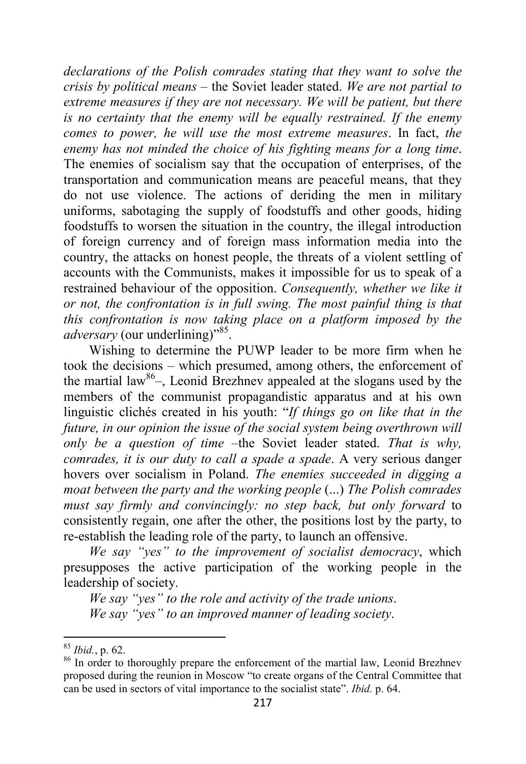*declarations of the Polish comrades stating that they want to solve the crisis by political means* – the Soviet leader stated. *We are not partial to extreme measures if they are not necessary. We will be patient, but there is no certainty that the enemy will be equally restrained. If the enemy comes to power, he will use the most extreme measures*. In fact, *the enemy has not minded the choice of his fighting means for a long time*. The enemies of socialism say that the occupation of enterprises, of the transportation and communication means are peaceful means, that they do not use violence. The actions of deriding the men in military uniforms, sabotaging the supply of foodstuffs and other goods, hiding foodstuffs to worsen the situation in the country, the illegal introduction of foreign currency and of foreign mass information media into the country, the attacks on honest people, the threats of a violent settling of accounts with the Communists, makes it impossible for us to speak of a restrained behaviour of the opposition. *Consequently, whether we like it or not, the confrontation is in full swing. The most painful thing is that this confrontation is now taking place on a platform imposed by the*  adversary (our underlining)"<sup>85</sup>.

Wishing to determine the PUWP leader to be more firm when he took the decisions – which presumed, among others, the enforcement of the martial law<sup>86</sup>–, Leonid Brezhnev appealed at the slogans used by the members of the communist propagandistic apparatus and at his own linguistic clichés created in his youth: "*If things go on like that in the future, in our opinion the issue of the social system being overthrown will only be a question of time* –the Soviet leader stated. *That is why, comrades, it is our duty to call a spade a spade*. A very serious danger hovers over socialism in Poland. *The enemies succeeded in digging a moat between the party and the working people* (...) *The Polish comrades must say firmly and convincingly: no step back, but only forward* to consistently regain, one after the other, the positions lost by the party, to re-establish the leading role of the party, to launch an offensive.

*We say "yes" to the improvement of socialist democracy*, which presupposes the active participation of the working people in the leadership of society.

*We say "yes" to the role and activity of the trade unions*. *We say "yes" to an improved manner of leading society*.

<sup>85</sup> *Ibid.*, p. 62.

<sup>&</sup>lt;sup>86</sup> In order to thoroughly prepare the enforcement of the martial law, Leonid Brezhnev proposed during the reunion in Moscow "to create organs of the Central Committee that can be used in sectors of vital importance to the socialist state". *Ibid.* p. 64.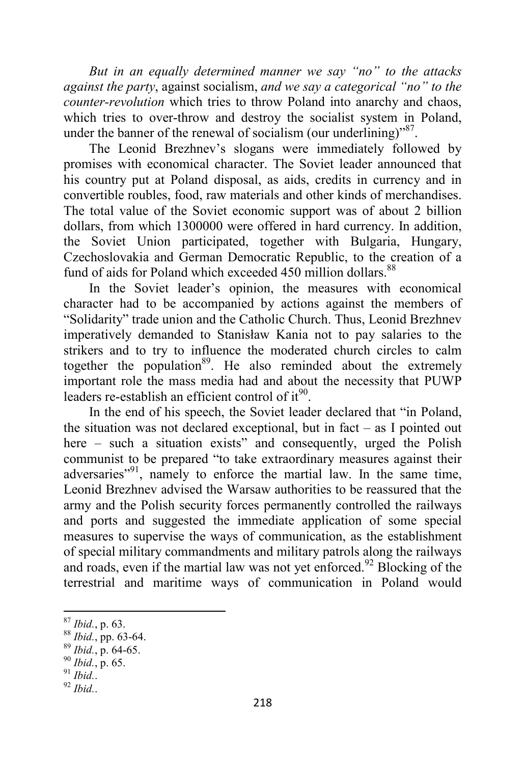*But in an equally determined manner we say "no" to the attacks against the party*, against socialism, *and we say a categorical "no" to the counter-revolution* which tries to throw Poland into anarchy and chaos, which tries to over-throw and destroy the socialist system in Poland, under the banner of the renewal of socialism (our underlining)<sup>587</sup>.

The Leonid Brezhnev's slogans were immediately followed by promises with economical character. The Soviet leader announced that his country put at Poland disposal, as aids, credits in currency and in convertible roubles, food, raw materials and other kinds of merchandises. The total value of the Soviet economic support was of about 2 billion dollars, from which 1300000 were offered in hard currency. In addition, the Soviet Union participated, together with Bulgaria, Hungary, Czechoslovakia and German Democratic Republic, to the creation of a fund of aids for Poland which exceeded 450 million dollars.<sup>88</sup>

In the Soviet leader's opinion, the measures with economical character had to be accompanied by actions against the members of "Solidarity" trade union and the Catholic Church. Thus, Leonid Brezhnev imperatively demanded to Stanisław Kania not to pay salaries to the strikers and to try to influence the moderated church circles to calm together the population<sup>89</sup>. He also reminded about the extremely important role the mass media had and about the necessity that PUWP leaders re-establish an efficient control of it $^{90}$ .

In the end of his speech, the Soviet leader declared that "in Poland, the situation was not declared exceptional, but in fact – as I pointed out here – such a situation exists" and consequently, urged the Polish communist to be prepared "to take extraordinary measures against their adversaries<sup>"91</sup>, namely to enforce the martial law. In the same time, Leonid Brezhnev advised the Warsaw authorities to be reassured that the army and the Polish security forces permanently controlled the railways and ports and suggested the immediate application of some special measures to supervise the ways of communication, as the establishment of special military commandments and military patrols along the railways and roads, even if the martial law was not yet enforced.<sup>92</sup> Blocking of the terrestrial and maritime ways of communication in Poland would

<sup>90</sup> *Ibid.*, p. 65.

 $\overline{\phantom{0}}$ <sup>87</sup> *Ibid.*, p. 63.

<sup>88</sup> *Ibid.*, pp. 63-64.

<sup>89</sup> *Ibid.*, p. 64-65.

<sup>91</sup> *Ibid.*.

<sup>92</sup> *Ibid.*.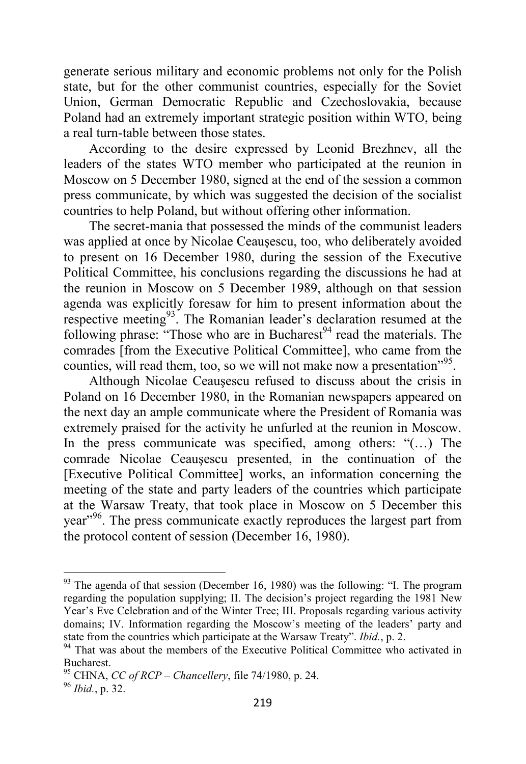generate serious military and economic problems not only for the Polish state, but for the other communist countries, especially for the Soviet Union, German Democratic Republic and Czechoslovakia, because Poland had an extremely important strategic position within WTO, being a real turn-table between those states.

According to the desire expressed by Leonid Brezhnev, all the leaders of the states WTO member who participated at the reunion in Moscow on 5 December 1980, signed at the end of the session a common press communicate, by which was suggested the decision of the socialist countries to help Poland, but without offering other information.

The secret-mania that possessed the minds of the communist leaders was applied at once by Nicolae Ceauşescu, too, who deliberately avoided to present on 16 December 1980, during the session of the Executive Political Committee, his conclusions regarding the discussions he had at the reunion in Moscow on 5 December 1989, although on that session agenda was explicitly foresaw for him to present information about the respective meeting<sup>93</sup>. The Romanian leader's declaration resumed at the following phrase: "Those who are in Bucharest $94$  read the materials. The comrades [from the Executive Political Committee], who came from the counties, will read them, too, so we will not make now a presentation<sup>"95</sup>.

Although Nicolae Ceauşescu refused to discuss about the crisis in Poland on 16 December 1980, in the Romanian newspapers appeared on the next day an ample communicate where the President of Romania was extremely praised for the activity he unfurled at the reunion in Moscow. In the press communicate was specified, among others: "(...) The comrade Nicolae Ceauşescu presented, in the continuation of the [Executive Political Committee] works, an information concerning the meeting of the state and party leaders of the countries which participate at the Warsaw Treaty, that took place in Moscow on 5 December this year"<sup>96</sup>. The press communicate exactly reproduces the largest part from the protocol content of session (December 16, 1980).

 $93$  The agenda of that session (December 16, 1980) was the following: "I. The program regarding the population supplying; II. The decision's project regarding the 1981 New Year's Eve Celebration and of the Winter Tree; III. Proposals regarding various activity domains; IV. Information regarding the Moscow's meeting of the leaders' party and state from the countries which participate at the Warsaw Treaty". *Ibid.*, p. 2.

<sup>&</sup>lt;sup>94</sup> That was about the members of the Executive Political Committee who activated in Bucharest.

<sup>95</sup> CHNA, *CC of RCP – Chancellery*, file 74/1980, p. 24.

<sup>96</sup> *Ibid.*, p. 32.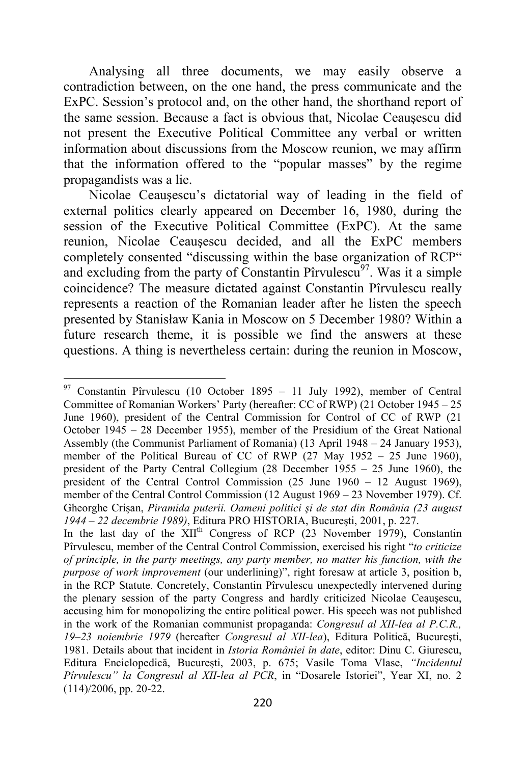Analysing all three documents, we may easily observe a contradiction between, on the one hand, the press communicate and the ExPC. Session's protocol and, on the other hand, the shorthand report of the same session. Because a fact is obvious that, Nicolae Ceauşescu did not present the Executive Political Committee any verbal or written information about discussions from the Moscow reunion, we may affirm that the information offered to the "popular masses" by the regime propagandists was a lie.

Nicolae Ceauşescu's dictatorial way of leading in the field of external politics clearly appeared on December 16, 1980, during the session of the Executive Political Committee (ExPC). At the same reunion, Nicolae Ceauşescu decided, and all the ExPC members completely consented "discussing within the base organization of RCP" and excluding from the party of Constantin Pîrvulescu<sup>97</sup>. Was it a simple coincidence? The measure dictated against Constantin Pîrvulescu really represents a reaction of the Romanian leader after he listen the speech presented by Stanisław Kania in Moscow on 5 December 1980? Within a future research theme, it is possible we find the answers at these questions. A thing is nevertheless certain: during the reunion in Moscow,

 $\overline{a}$  $97$  Constantin Pîrvulescu (10 October 1895 – 11 July 1992), member of Central Committee of Romanian Workers' Party (hereafter: CC of RWP) (21 October 1945 – 25 June 1960), president of the Central Commission for Control of CC of RWP (21 October 1945 – 28 December 1955), member of the Presidium of the Great National Assembly (the Communist Parliament of Romania) (13 April 1948 – 24 January 1953), member of the Political Bureau of CC of RWP (27 May 1952 – 25 June 1960), president of the Party Central Collegium (28 December 1955 – 25 June 1960), the president of the Central Control Commission (25 June 1960 – 12 August 1969), member of the Central Control Commission (12 August 1969 – 23 November 1979). Cf. Gheorghe Crişan, *Piramida puterii. Oameni politici şi de stat din România (23 august 1944 – 22 decembrie 1989)*, Editura PRO HISTORIA, Bucureşti, 2001, p. 227.

In the last day of the  $\widehat{XII}^{th}$  Congress of RCP (23 November 1979), Constantin Pîrvulescu, member of the Central Control Commission, exercised his right "*to criticize of principle, in the party meetings, any party member, no matter his function, with the purpose of work improvement* (our underlining)", right foresaw at article 3, position b, in the RCP Statute. Concretely, Constantin Pîrvulescu unexpectedly intervened during the plenary session of the party Congress and hardly criticized Nicolae Ceauşescu, accusing him for monopolizing the entire political power. His speech was not published in the work of the Romanian communist propaganda: *Congresul al XII-lea al P.C.R., 19–23 noiembrie 1979* (hereafter *Congresul al XII-lea*), Editura Politică, Bucureşti, 1981. Details about that incident in *Istoria României în date*, editor: Dinu C. Giurescu, Editura Enciclopedică, Bucureşti, 2003, p. 675; Vasile Toma Vlase, *"Incidentul Pîrvulescu" la Congresul al XII-lea al PCR*, in "Dosarele Istoriei", Year XI, no. 2 (114)/2006, pp. 20-22.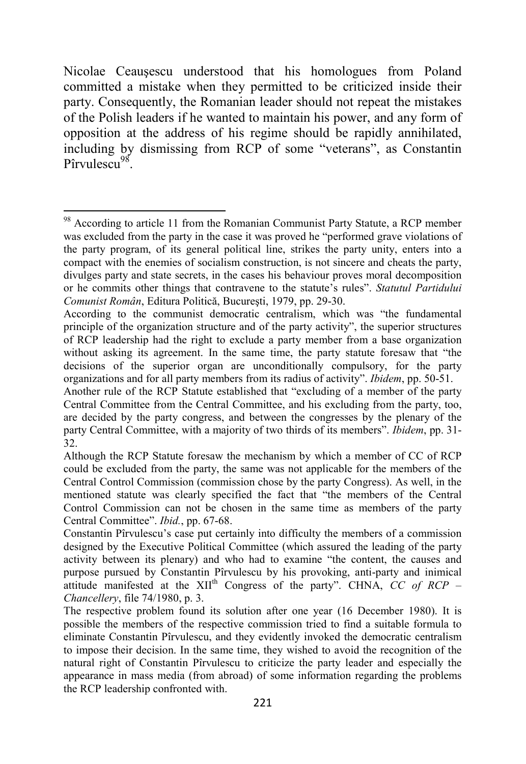Nicolae Ceauşescu understood that his homologues from Poland committed a mistake when they permitted to be criticized inside their party. Consequently, the Romanian leader should not repeat the mistakes of the Polish leaders if he wanted to maintain his power, and any form of opposition at the address of his regime should be rapidly annihilated, including by dismissing from RCP of some "veterans", as Constantin Pîrvulescu<sup>98</sup>.

<sup>&</sup>lt;sup>98</sup> According to article 11 from the Romanian Communist Party Statute, a RCP member was excluded from the party in the case it was proved he "performed grave violations of the party program, of its general political line, strikes the party unity, enters into a compact with the enemies of socialism construction, is not sincere and cheats the party, divulges party and state secrets, in the cases his behaviour proves moral decomposition or he commits other things that contravene to the statute's rules". *Statutul Partidului Comunist Român*, Editura Politică, Bucureşti, 1979, pp. 29-30.

According to the communist democratic centralism, which was "the fundamental principle of the organization structure and of the party activity", the superior structures of RCP leadership had the right to exclude a party member from a base organization without asking its agreement. In the same time, the party statute foresaw that "the decisions of the superior organ are unconditionally compulsory, for the party organizations and for all party members from its radius of activity". *Ibidem*, pp. 50-51.

Another rule of the RCP Statute established that "excluding of a member of the party Central Committee from the Central Committee, and his excluding from the party, too, are decided by the party congress, and between the congresses by the plenary of the party Central Committee, with a majority of two thirds of its members". *Ibidem*, pp. 31- 32.

Although the RCP Statute foresaw the mechanism by which a member of CC of RCP could be excluded from the party, the same was not applicable for the members of the Central Control Commission (commission chose by the party Congress). As well, in the mentioned statute was clearly specified the fact that "the members of the Central Control Commission can not be chosen in the same time as members of the party Central Committee". *Ibid.*, pp. 67-68.

Constantin Pîrvulescu's case put certainly into difficulty the members of a commission designed by the Executive Political Committee (which assured the leading of the party activity between its plenary) and who had to examine "the content, the causes and purpose pursued by Constantin Pîrvulescu by his provoking, anti-party and inimical attitude manifested at the XII<sup>th</sup> Congress of the party". CHNA, *CC of RCP – Chancellery*, file 74/1980, p. 3.

The respective problem found its solution after one year (16 December 1980). It is possible the members of the respective commission tried to find a suitable formula to eliminate Constantin Pîrvulescu, and they evidently invoked the democratic centralism to impose their decision. In the same time, they wished to avoid the recognition of the natural right of Constantin Pîrvulescu to criticize the party leader and especially the appearance in mass media (from abroad) of some information regarding the problems the RCP leadership confronted with.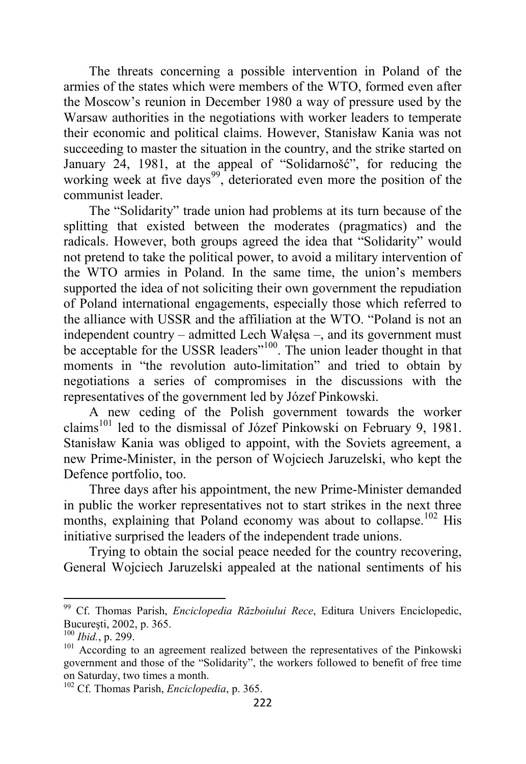The threats concerning a possible intervention in Poland of the armies of the states which were members of the WTO, formed even after the Moscow's reunion in December 1980 a way of pressure used by the Warsaw authorities in the negotiations with worker leaders to temperate their economic and political claims. However, Stanisław Kania was not succeeding to master the situation in the country, and the strike started on January 24, 1981, at the appeal of "Solidarnošć", for reducing the working week at five days<sup>99</sup>, deteriorated even more the position of the communist leader.

The "Solidarity" trade union had problems at its turn because of the splitting that existed between the moderates (pragmatics) and the radicals. However, both groups agreed the idea that "Solidarity" would not pretend to take the political power, to avoid a military intervention of the WTO armies in Poland. In the same time, the union's members supported the idea of not soliciting their own government the repudiation of Poland international engagements, especially those which referred to the alliance with USSR and the affiliation at the WTO. "Poland is not an independent country – admitted Lech Wałęsa –, and its government must be acceptable for the USSR leaders"<sup>100</sup>. The union leader thought in that moments in "the revolution auto-limitation" and tried to obtain by negotiations a series of compromises in the discussions with the representatives of the government led by Józef Pinkowski.

A new ceding of the Polish government towards the worker claims<sup>101</sup> led to the dismissal of Józef Pinkowski on February 9, 1981. Stanisław Kania was obliged to appoint, with the Soviets agreement, a new Prime-Minister, in the person of Wojciech Jaruzelski, who kept the Defence portfolio, too.

Three days after his appointment, the new Prime-Minister demanded in public the worker representatives not to start strikes in the next three months, explaining that Poland economy was about to collapse.<sup>102</sup> His initiative surprised the leaders of the independent trade unions.

Trying to obtain the social peace needed for the country recovering, General Wojciech Jaruzelski appealed at the national sentiments of his

<sup>99</sup> Cf. Thomas Parish, *Enciclopedia Războiului Rece*, Editura Univers Enciclopedic, Bucureşti, 2002, p. 365.

<sup>100</sup> *Ibid.*, p. 299.

<sup>&</sup>lt;sup>101</sup> According to an agreement realized between the representatives of the Pinkowski government and those of the "Solidarity", the workers followed to benefit of free time on Saturday, two times a month.

<sup>102</sup> Cf. Thomas Parish, *Enciclopedia*, p. 365.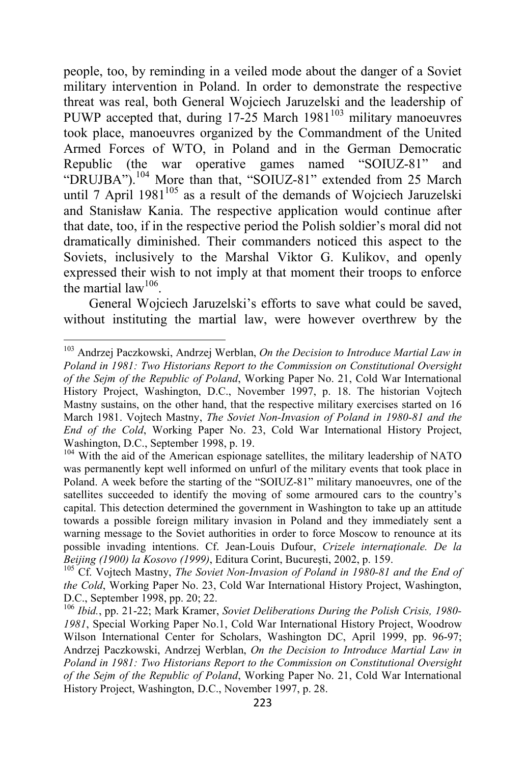people, too, by reminding in a veiled mode about the danger of a Soviet military intervention in Poland. In order to demonstrate the respective threat was real, both General Wojciech Jaruzelski and the leadership of PUWP accepted that, during  $17-25$  March  $1981^{103}$  military manoeuvres took place, manoeuvres organized by the Commandment of the United Armed Forces of WTO, in Poland and in the German Democratic Republic (the war operative games named "SOIUZ-81" and "DRUJBA").<sup>104</sup> More than that, "SOIUZ-81" extended from 25 March until 7 April  $1981^{105}$  as a result of the demands of Wojciech Jaruzelski and Stanisław Kania. The respective application would continue after that date, too, if in the respective period the Polish soldier's moral did not dramatically diminished. Their commanders noticed this aspect to the Soviets, inclusively to the Marshal Viktor G. Kulikov, and openly expressed their wish to not imply at that moment their troops to enforce the martial law<sup>106</sup>.

General Wojciech Jaruzelski's efforts to save what could be saved, without instituting the martial law, were however overthrew by the

<sup>103</sup> Andrzej Paczkowski, Andrzej Werblan, *On the Decision to Introduce Martial Law in Poland in 1981: Two Historians Report to the Commission on Constitutional Oversight of the Sejm of the Republic of Poland*, Working Paper No. 21, Cold War International History Project, Washington, D.C., November 1997, p. 18. The historian Vojtech Mastny sustains, on the other hand, that the respective military exercises started on 16 March 1981. Vojtech Mastny, *The Soviet Non-Invasion of Poland in 1980-81 and the End of the Cold*, Working Paper No. 23, Cold War International History Project, Washington, D.C., September 1998, p. 19.

<sup>&</sup>lt;sup>104</sup> With the aid of the American espionage satellites, the military leadership of NATO was permanently kept well informed on unfurl of the military events that took place in Poland. A week before the starting of the "SOIUZ-81" military manoeuvres, one of the satellites succeeded to identify the moving of some armoured cars to the country's capital. This detection determined the government in Washington to take up an attitude towards a possible foreign military invasion in Poland and they immediately sent a warning message to the Soviet authorities in order to force Moscow to renounce at its possible invading intentions. Cf. Jean-Louis Dufour, *Crizele internaţionale. De la Beijing (1900) la Kosovo (1999)*, Editura Corint, Bucureşti, 2002, p. 159.

<sup>&</sup>lt;sup>105</sup> Cf. Vojtech Mastny, *The Soviet Non-Invasion of Poland in 1980-81 and the End of the Cold*, Working Paper No. 23, Cold War International History Project, Washington, D.C., September 1998, pp. 20; 22.

<sup>106</sup> *Ibid.*, pp. 21-22; Mark Kramer, *Soviet Deliberations During the Polish Crisis, 1980- 1981*, Special Working Paper No.1, Cold War International History Project, Woodrow Wilson International Center for Scholars, Washington DC, April 1999, pp. 96-97; Andrzej Paczkowski, Andrzej Werblan, *On the Decision to Introduce Martial Law in Poland in 1981: Two Historians Report to the Commission on Constitutional Oversight of the Sejm of the Republic of Poland*, Working Paper No. 21, Cold War International History Project, Washington, D.C., November 1997, p. 28.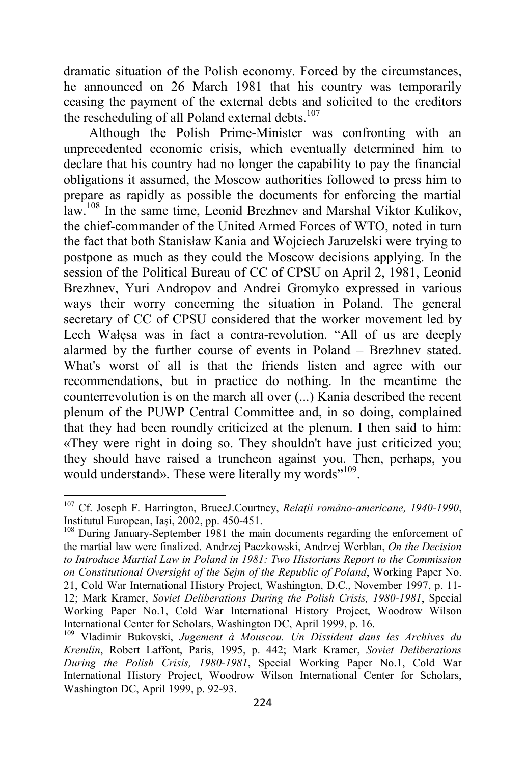dramatic situation of the Polish economy. Forced by the circumstances, he announced on 26 March 1981 that his country was temporarily ceasing the payment of the external debts and solicited to the creditors the rescheduling of all Poland external debts. $107$ 

Although the Polish Prime-Minister was confronting with an unprecedented economic crisis, which eventually determined him to declare that his country had no longer the capability to pay the financial obligations it assumed, the Moscow authorities followed to press him to prepare as rapidly as possible the documents for enforcing the martial law.<sup>108</sup> In the same time, Leonid Brezhnev and Marshal Viktor Kulikov, the chief-commander of the United Armed Forces of WTO, noted in turn the fact that both Stanisław Kania and Wojciech Jaruzelski were trying to postpone as much as they could the Moscow decisions applying. In the session of the Political Bureau of CC of CPSU on April 2, 1981, Leonid Brezhnev, Yuri Andropov and Andrei Gromyko expressed in various ways their worry concerning the situation in Poland. The general secretary of CC of CPSU considered that the worker movement led by Lech Wałęsa was in fact a contra-revolution. "All of us are deeply alarmed by the further course of events in Poland – Brezhnev stated. What's worst of all is that the friends listen and agree with our recommendations, but in practice do nothing. In the meantime the counterrevolution is on the march all over (...) Kania described the recent plenum of the PUWP Central Committee and, in so doing, complained that they had been roundly criticized at the plenum. I then said to him: «They were right in doing so. They shouldn't have just criticized you; they should have raised a truncheon against you. Then, perhaps, you would understand». These were literally my words"<sup>109</sup>.

<sup>107</sup> Cf. Joseph F. Harrington, BruceJ.Courtney, *Relaţii româno-americane, 1940-1990*, Institutul European, Iaşi, 2002, pp. 450-451.

<sup>&</sup>lt;sup>108</sup> During January-September 1981 the main documents regarding the enforcement of the martial law were finalized. Andrzej Paczkowski, Andrzej Werblan, *On the Decision to Introduce Martial Law in Poland in 1981: Two Historians Report to the Commission on Constitutional Oversight of the Sejm of the Republic of Poland*, Working Paper No. 21, Cold War International History Project, Washington, D.C., November 1997, p. 11- 12; Mark Kramer, *Soviet Deliberations During the Polish Crisis, 1980-1981*, Special Working Paper No.1, Cold War International History Project, Woodrow Wilson International Center for Scholars, Washington DC, April 1999, p. 16.

<sup>109</sup> Vladimir Bukovski, *Jugement à Mouscou. Un Dissident dans les Archives du Kremlin*, Robert Laffont, Paris, 1995, p. 442; Mark Kramer, *Soviet Deliberations During the Polish Crisis, 1980-1981*, Special Working Paper No.1, Cold War International History Project, Woodrow Wilson International Center for Scholars, Washington DC, April 1999, p. 92-93.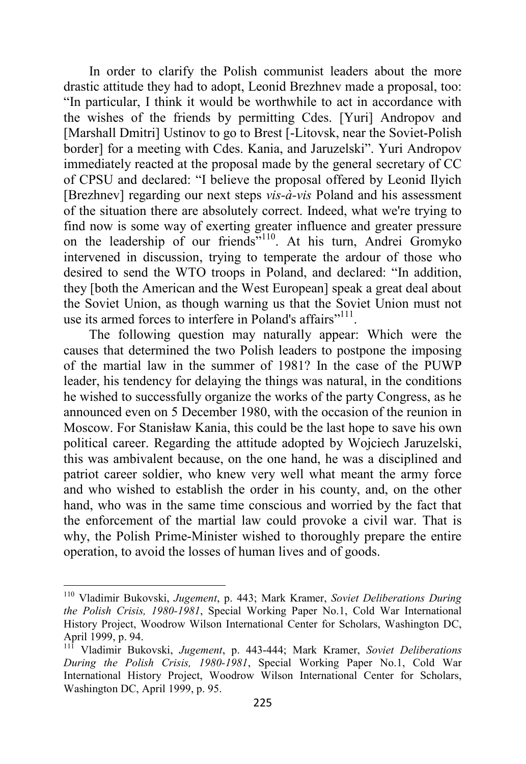In order to clarify the Polish communist leaders about the more drastic attitude they had to adopt, Leonid Brezhnev made a proposal, too: "In particular, I think it would be worthwhile to act in accordance with the wishes of the friends by permitting Cdes. [Yuri] Andropov and [Marshall Dmitri] Ustinov to go to Brest [-Litovsk, near the Soviet-Polish border] for a meeting with Cdes. Kania, and Jaruzelski". Yuri Andropov immediately reacted at the proposal made by the general secretary of CC of CPSU and declared: "I believe the proposal offered by Leonid Ilyich [Brezhnev] regarding our next steps *vis-à-vis* Poland and his assessment of the situation there are absolutely correct. Indeed, what we're trying to find now is some way of exerting greater influence and greater pressure on the leadership of our friends"<sup>110</sup>. At his turn, Andrei Gromyko intervened in discussion, trying to temperate the ardour of those who desired to send the WTO troops in Poland, and declared: "In addition, they [both the American and the West European] speak a great deal about the Soviet Union, as though warning us that the Soviet Union must not use its armed forces to interfere in Poland's affairs"<sup>111</sup>.

The following question may naturally appear: Which were the causes that determined the two Polish leaders to postpone the imposing of the martial law in the summer of 1981? In the case of the PUWP leader, his tendency for delaying the things was natural, in the conditions he wished to successfully organize the works of the party Congress, as he announced even on 5 December 1980, with the occasion of the reunion in Moscow. For Stanisław Kania, this could be the last hope to save his own political career. Regarding the attitude adopted by Wojciech Jaruzelski, this was ambivalent because, on the one hand, he was a disciplined and patriot career soldier, who knew very well what meant the army force and who wished to establish the order in his county, and, on the other hand, who was in the same time conscious and worried by the fact that the enforcement of the martial law could provoke a civil war. That is why, the Polish Prime-Minister wished to thoroughly prepare the entire operation, to avoid the losses of human lives and of goods.

<sup>110</sup> Vladimir Bukovski, *Jugement*, p. 443; Mark Kramer, *Soviet Deliberations During the Polish Crisis, 1980-1981*, Special Working Paper No.1, Cold War International History Project, Woodrow Wilson International Center for Scholars, Washington DC, April 1999, p. 94.

<sup>111</sup> Vladimir Bukovski, *Jugement*, p. 443-444; Mark Kramer, *Soviet Deliberations During the Polish Crisis, 1980-1981*, Special Working Paper No.1, Cold War International History Project, Woodrow Wilson International Center for Scholars, Washington DC, April 1999, p. 95.